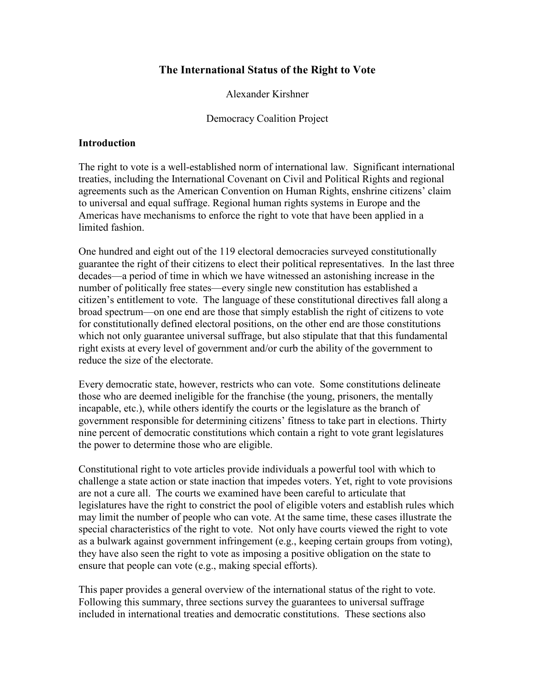# The International Status of the Right to Vote

Alexander Kirshner

Democracy Coalition Project

# Introduction

The right to vote is a well-established norm of international law. Significant international treaties, including the International Covenant on Civil and Political Rights and regional agreements such as the American Convention on Human Rights, enshrine citizens' claim to universal and equal suffrage. Regional human rights systems in Europe and the Americas have mechanisms to enforce the right to vote that have been applied in a limited fashion.

One hundred and eight out of the 119 electoral democracies surveyed constitutionally guarantee the right of their citizens to elect their political representatives. In the last three decades—a period of time in which we have witnessed an astonishing increase in the number of politically free states—every single new constitution has established a citizen's entitlement to vote. The language of these constitutional directives fall along a broad spectrum—on one end are those that simply establish the right of citizens to vote for constitutionally defined electoral positions, on the other end are those constitutions which not only guarantee universal suffrage, but also stipulate that that this fundamental right exists at every level of government and/or curb the ability of the government to reduce the size of the electorate.

Every democratic state, however, restricts who can vote. Some constitutions delineate those who are deemed ineligible for the franchise (the young, prisoners, the mentally incapable, etc.), while others identify the courts or the legislature as the branch of government responsible for determining citizens' fitness to take part in elections. Thirty nine percent of democratic constitutions which contain a right to vote grant legislatures the power to determine those who are eligible.

Constitutional right to vote articles provide individuals a powerful tool with which to challenge a state action or state inaction that impedes voters. Yet, right to vote provisions are not a cure all. The courts we examined have been careful to articulate that legislatures have the right to constrict the pool of eligible voters and establish rules which may limit the number of people who can vote. At the same time, these cases illustrate the special characteristics of the right to vote. Not only have courts viewed the right to vote as a bulwark against government infringement (e.g., keeping certain groups from voting), they have also seen the right to vote as imposing a positive obligation on the state to ensure that people can vote (e.g., making special efforts).

This paper provides a general overview of the international status of the right to vote. Following this summary, three sections survey the guarantees to universal suffrage included in international treaties and democratic constitutions. These sections also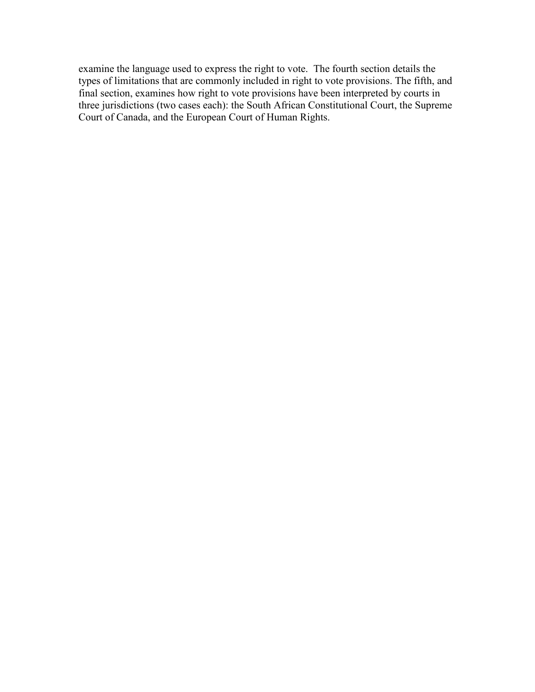examine the language used to express the right to vote. The fourth section details the types of limitations that are commonly included in right to vote provisions. The fifth, and final section, examines how right to vote provisions have been interpreted by courts in three jurisdictions (two cases each): the South African Constitutional Court, the Supreme Court of Canada, and the European Court of Human Rights.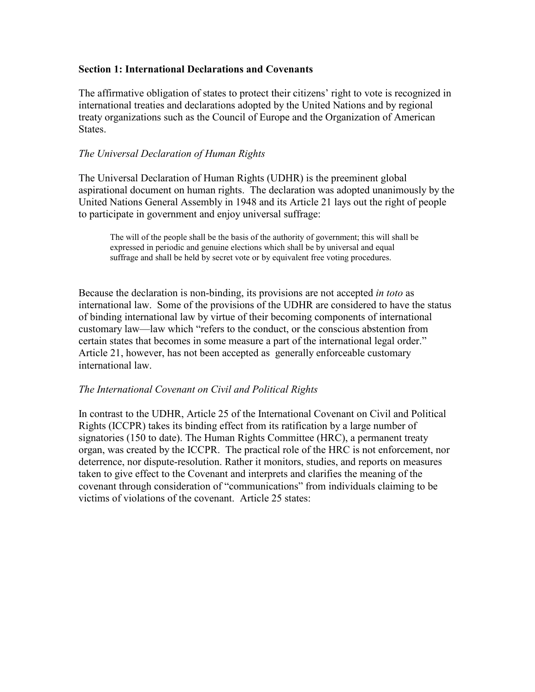# Section 1: International Declarations and Covenants

The affirmative obligation of states to protect their citizens' right to vote is recognized in international treaties and declarations adopted by the United Nations and by regional treaty organizations such as the Council of Europe and the Organization of American States.

# The Universal Declaration of Human Rights

The Universal Declaration of Human Rights (UDHR) is the preeminent global aspirational document on human rights. The declaration was adopted unanimously by the United Nations General Assembly in 1948 and its Article 21 lays out the right of people to participate in government and enjoy universal suffrage:

The will of the people shall be the basis of the authority of government; this will shall be expressed in periodic and genuine elections which shall be by universal and equal suffrage and shall be held by secret vote or by equivalent free voting procedures.

Because the declaration is non-binding, its provisions are not accepted in toto as international law. Some of the provisions of the UDHR are considered to have the status of binding international law by virtue of their becoming components of international customary law—law which "refers to the conduct, or the conscious abstention from certain states that becomes in some measure a part of the international legal order." Article 21, however, has not been accepted as generally enforceable customary international law.

# The International Covenant on Civil and Political Rights

In contrast to the UDHR, Article 25 of the International Covenant on Civil and Political Rights (ICCPR) takes its binding effect from its ratification by a large number of signatories (150 to date). The Human Rights Committee (HRC), a permanent treaty organ, was created by the ICCPR. The practical role of the HRC is not enforcement, nor deterrence, nor dispute-resolution. Rather it monitors, studies, and reports on measures taken to give effect to the Covenant and interprets and clarifies the meaning of the covenant through consideration of "communications" from individuals claiming to be victims of violations of the covenant. Article 25 states: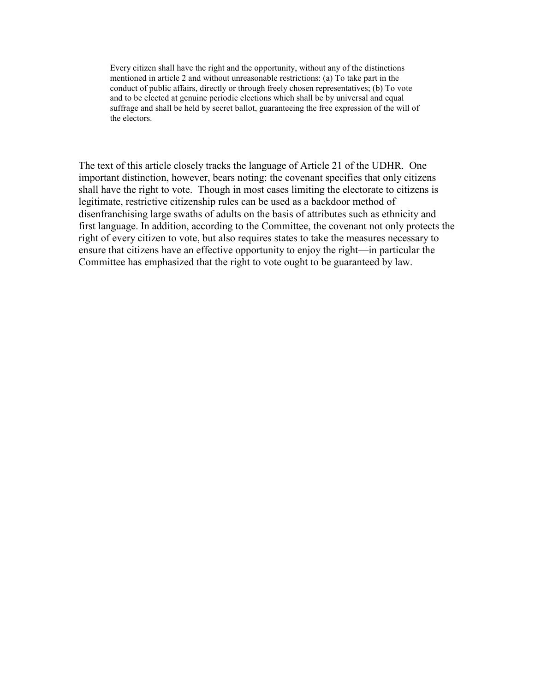Every citizen shall have the right and the opportunity, without any of the distinctions mentioned in article 2 and without unreasonable restrictions: (a) To take part in the conduct of public affairs, directly or through freely chosen representatives; (b) To vote and to be elected at genuine periodic elections which shall be by universal and equal suffrage and shall be held by secret ballot, guaranteeing the free expression of the will of the electors.

The text of this article closely tracks the language of Article 21 of the UDHR. One important distinction, however, bears noting: the covenant specifies that only citizens shall have the right to vote. Though in most cases limiting the electorate to citizens is legitimate, restrictive citizenship rules can be used as a backdoor method of disenfranchising large swaths of adults on the basis of attributes such as ethnicity and first language. In addition, according to the Committee, the covenant not only protects the right of every citizen to vote, but also requires states to take the measures necessary to ensure that citizens have an effective opportunity to enjoy the right—in particular the Committee has emphasized that the right to vote ought to be guaranteed by law.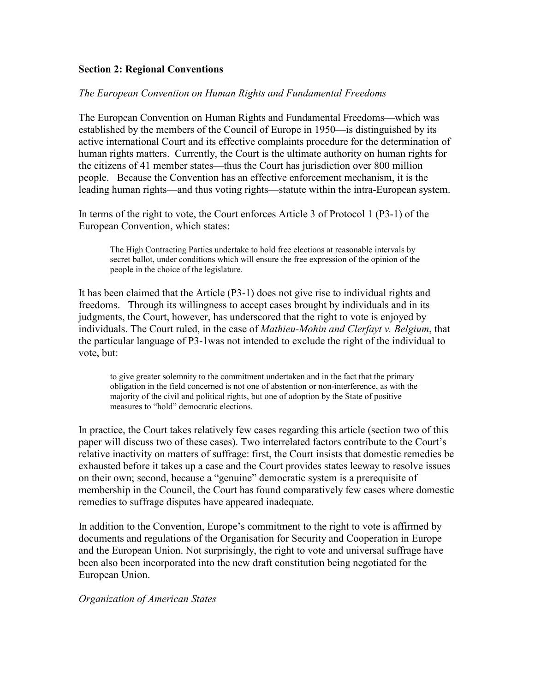# Section 2: Regional Conventions

### The European Convention on Human Rights and Fundamental Freedoms

The European Convention on Human Rights and Fundamental Freedoms—which was established by the members of the Council of Europe in 1950—is distinguished by its active international Court and its effective complaints procedure for the determination of human rights matters. Currently, the Court is the ultimate authority on human rights for the citizens of 41 member states—thus the Court has jurisdiction over 800 million people. Because the Convention has an effective enforcement mechanism, it is the leading human rights—and thus voting rights—statute within the intra-European system.

In terms of the right to vote, the Court enforces Article 3 of Protocol 1 (P3-1) of the European Convention, which states:

The High Contracting Parties undertake to hold free elections at reasonable intervals by secret ballot, under conditions which will ensure the free expression of the opinion of the people in the choice of the legislature.

It has been claimed that the Article (P3-1) does not give rise to individual rights and freedoms. Through its willingness to accept cases brought by individuals and in its judgments, the Court, however, has underscored that the right to vote is enjoyed by individuals. The Court ruled, in the case of *Mathieu-Mohin and Clerfayt v. Belgium*, that the particular language of P3-1was not intended to exclude the right of the individual to vote, but:

to give greater solemnity to the commitment undertaken and in the fact that the primary obligation in the field concerned is not one of abstention or non-interference, as with the majority of the civil and political rights, but one of adoption by the State of positive measures to "hold" democratic elections.

In practice, the Court takes relatively few cases regarding this article (section two of this paper will discuss two of these cases). Two interrelated factors contribute to the Court's relative inactivity on matters of suffrage: first, the Court insists that domestic remedies be exhausted before it takes up a case and the Court provides states leeway to resolve issues on their own; second, because a "genuine" democratic system is a prerequisite of membership in the Council, the Court has found comparatively few cases where domestic remedies to suffrage disputes have appeared inadequate.

In addition to the Convention, Europe's commitment to the right to vote is affirmed by documents and regulations of the Organisation for Security and Cooperation in Europe and the European Union. Not surprisingly, the right to vote and universal suffrage have been also been incorporated into the new draft constitution being negotiated for the European Union.

### Organization of American States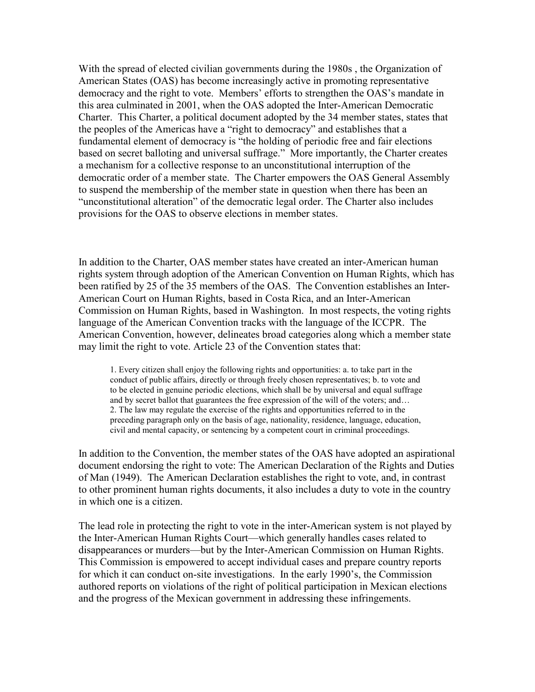With the spread of elected civilian governments during the 1980s , the Organization of American States (OAS) has become increasingly active in promoting representative democracy and the right to vote. Members' efforts to strengthen the OAS's mandate in this area culminated in 2001, when the OAS adopted the Inter-American Democratic Charter. This Charter, a political document adopted by the 34 member states, states that the peoples of the Americas have a "right to democracy" and establishes that a fundamental element of democracy is "the holding of periodic free and fair elections based on secret balloting and universal suffrage." More importantly, the Charter creates a mechanism for a collective response to an unconstitutional interruption of the democratic order of a member state. The Charter empowers the OAS General Assembly to suspend the membership of the member state in question when there has been an "unconstitutional alteration" of the democratic legal order. The Charter also includes provisions for the OAS to observe elections in member states.

In addition to the Charter, OAS member states have created an inter-American human rights system through adoption of the American Convention on Human Rights, which has been ratified by 25 of the 35 members of the OAS. The Convention establishes an Inter-American Court on Human Rights, based in Costa Rica, and an Inter-American Commission on Human Rights, based in Washington. In most respects, the voting rights language of the American Convention tracks with the language of the ICCPR. The American Convention, however, delineates broad categories along which a member state may limit the right to vote. Article 23 of the Convention states that:

1. Every citizen shall enjoy the following rights and opportunities: a. to take part in the conduct of public affairs, directly or through freely chosen representatives; b. to vote and to be elected in genuine periodic elections, which shall be by universal and equal suffrage and by secret ballot that guarantees the free expression of the will of the voters; and… 2. The law may regulate the exercise of the rights and opportunities referred to in the preceding paragraph only on the basis of age, nationality, residence, language, education, civil and mental capacity, or sentencing by a competent court in criminal proceedings.

In addition to the Convention, the member states of the OAS have adopted an aspirational document endorsing the right to vote: The American Declaration of the Rights and Duties of Man (1949). The American Declaration establishes the right to vote, and, in contrast to other prominent human rights documents, it also includes a duty to vote in the country in which one is a citizen.

The lead role in protecting the right to vote in the inter-American system is not played by the Inter-American Human Rights Court—which generally handles cases related to disappearances or murders—but by the Inter-American Commission on Human Rights. This Commission is empowered to accept individual cases and prepare country reports for which it can conduct on-site investigations. In the early 1990's, the Commission authored reports on violations of the right of political participation in Mexican elections and the progress of the Mexican government in addressing these infringements.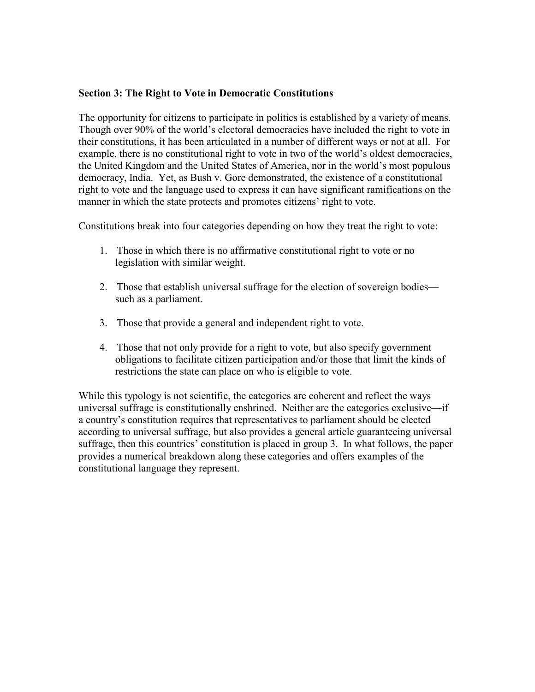# Section 3: The Right to Vote in Democratic Constitutions

The opportunity for citizens to participate in politics is established by a variety of means. Though over 90% of the world's electoral democracies have included the right to vote in their constitutions, it has been articulated in a number of different ways or not at all. For example, there is no constitutional right to vote in two of the world's oldest democracies, the United Kingdom and the United States of America, nor in the world's most populous democracy, India. Yet, as Bush v. Gore demonstrated, the existence of a constitutional right to vote and the language used to express it can have significant ramifications on the manner in which the state protects and promotes citizens' right to vote.

Constitutions break into four categories depending on how they treat the right to vote:

- 1. Those in which there is no affirmative constitutional right to vote or no legislation with similar weight.
- 2. Those that establish universal suffrage for the election of sovereign bodies such as a parliament.
- 3. Those that provide a general and independent right to vote.
- 4. Those that not only provide for a right to vote, but also specify government obligations to facilitate citizen participation and/or those that limit the kinds of restrictions the state can place on who is eligible to vote.

While this typology is not scientific, the categories are coherent and reflect the ways universal suffrage is constitutionally enshrined. Neither are the categories exclusive—if a country's constitution requires that representatives to parliament should be elected according to universal suffrage, but also provides a general article guaranteeing universal suffrage, then this countries' constitution is placed in group 3. In what follows, the paper provides a numerical breakdown along these categories and offers examples of the constitutional language they represent.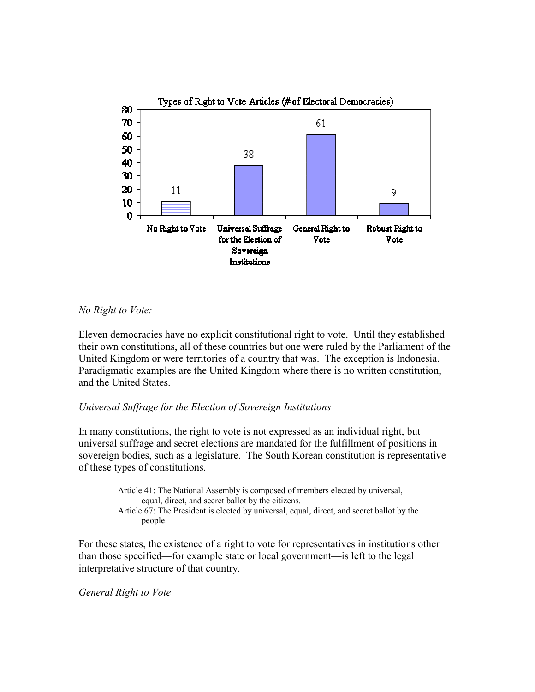

# No Right to Vote:

Eleven democracies have no explicit constitutional right to vote. Until they established their own constitutions, all of these countries but one were ruled by the Parliament of the United Kingdom or were territories of a country that was. The exception is Indonesia. Paradigmatic examples are the United Kingdom where there is no written constitution, and the United States.

#### Universal Suffrage for the Election of Sovereign Institutions

In many constitutions, the right to vote is not expressed as an individual right, but universal suffrage and secret elections are mandated for the fulfillment of positions in sovereign bodies, such as a legislature. The South Korean constitution is representative of these types of constitutions.

> Article 41: The National Assembly is composed of members elected by universal, equal, direct, and secret ballot by the citizens. Article 67: The President is elected by universal, equal, direct, and secret ballot by the people.

For these states, the existence of a right to vote for representatives in institutions other than those specified—for example state or local government—is left to the legal interpretative structure of that country.

#### General Right to Vote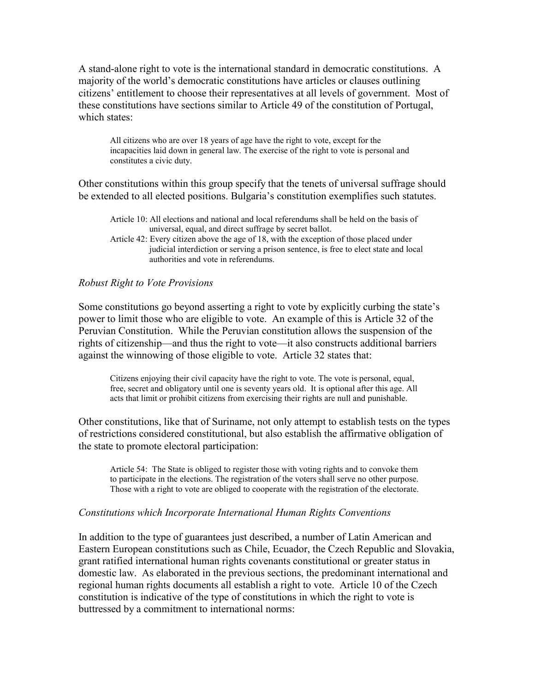A stand-alone right to vote is the international standard in democratic constitutions. A majority of the world's democratic constitutions have articles or clauses outlining citizens' entitlement to choose their representatives at all levels of government. Most of these constitutions have sections similar to Article 49 of the constitution of Portugal, which states:

All citizens who are over 18 years of age have the right to vote, except for the incapacities laid down in general law. The exercise of the right to vote is personal and constitutes a civic duty.

Other constitutions within this group specify that the tenets of universal suffrage should be extended to all elected positions. Bulgaria's constitution exemplifies such statutes.

|  |  | Article 10: All elections and national and local referendums shall be held on the basis of |  |  |
|--|--|--------------------------------------------------------------------------------------------|--|--|
|  |  | universal, equal, and direct suffrage by secret ballot.                                    |  |  |

Article 42: Every citizen above the age of 18, with the exception of those placed under judicial interdiction or serving a prison sentence, is free to elect state and local authorities and vote in referendums.

### Robust Right to Vote Provisions

Some constitutions go beyond asserting a right to vote by explicitly curbing the state's power to limit those who are eligible to vote. An example of this is Article 32 of the Peruvian Constitution. While the Peruvian constitution allows the suspension of the rights of citizenship—and thus the right to vote—it also constructs additional barriers against the winnowing of those eligible to vote. Article 32 states that:

Citizens enjoying their civil capacity have the right to vote. The vote is personal, equal, free, secret and obligatory until one is seventy years old. It is optional after this age. All acts that limit or prohibit citizens from exercising their rights are null and punishable.

Other constitutions, like that of Suriname, not only attempt to establish tests on the types of restrictions considered constitutional, but also establish the affirmative obligation of the state to promote electoral participation:

Article 54: The State is obliged to register those with voting rights and to convoke them to participate in the elections. The registration of the voters shall serve no other purpose. Those with a right to vote are obliged to cooperate with the registration of the electorate.

#### Constitutions which Incorporate International Human Rights Conventions

In addition to the type of guarantees just described, a number of Latin American and Eastern European constitutions such as Chile, Ecuador, the Czech Republic and Slovakia, grant ratified international human rights covenants constitutional or greater status in domestic law. As elaborated in the previous sections, the predominant international and regional human rights documents all establish a right to vote. Article 10 of the Czech constitution is indicative of the type of constitutions in which the right to vote is buttressed by a commitment to international norms: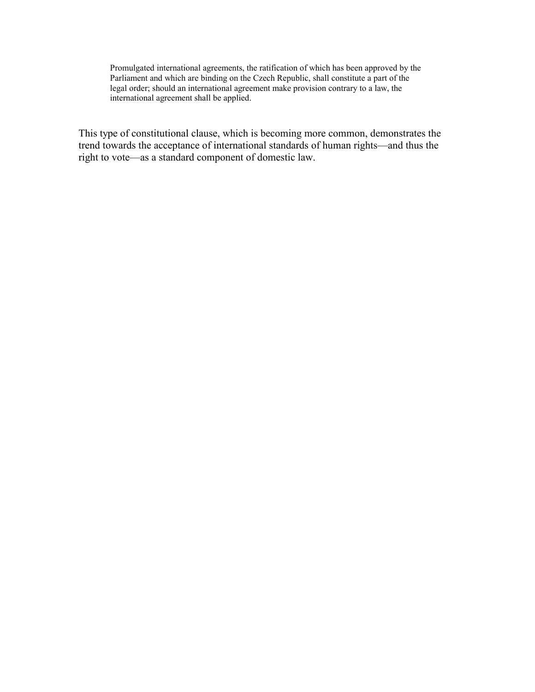Promulgated international agreements, the ratification of which has been approved by the Parliament and which are binding on the Czech Republic, shall constitute a part of the legal order; should an international agreement make provision contrary to a law, the international agreement shall be applied.

This type of constitutional clause, which is becoming more common, demonstrates the trend towards the acceptance of international standards of human rights—and thus the right to vote—as a standard component of domestic law.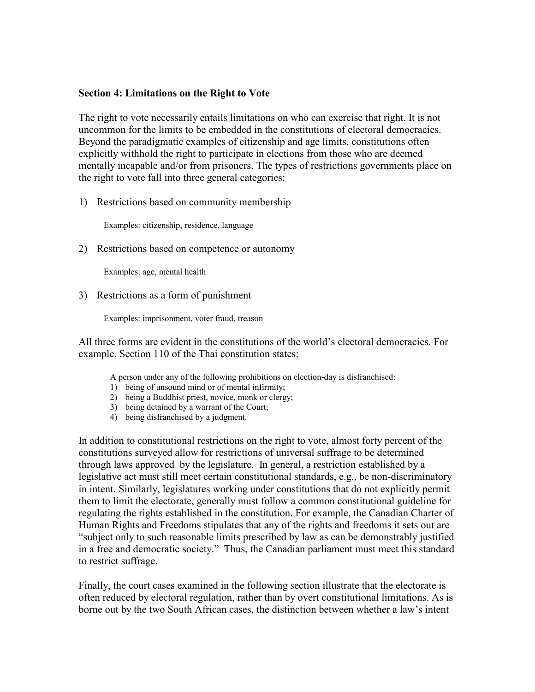#### Section 4: Limitations on the Right to Vote

The right to vote necessarily entails limitations on who can exercise that right. It is not uncommon for the limits to be embedded in the constitutions of electoral democracies. Beyond the paradigmatic examples of citizenship and age limits, constitutions often explicitly withhold the right to participate in elections from those who are deemed mentally incapable and/or from prisoners. The types of restrictions governments place on the right to vote fall into three general categories:

1) Restrictions based on community membership

Examples: citizenship, residence, language

2) Restrictions based on competence or autonomy

Examples: age, mental health

3) Restrictions as a form of punishment

Examples: imprisonment, voter fraud, treason

All three forms are evident in the constitutions of the world's electoral democracies. For example, Section 110 of the Thai constitution states:

A person under any of the following prohibitions on election-day is disfranchised:

- 1) being of unsound mind or of mental infirmity;
- 2) being a Buddhist priest, novice, monk or clergy;
- 3) being detained by a warrant of the Court;
- 4) being disfranchised by a judgment.

In addition to constitutional restrictions on the right to vote, almost forty percent of the constitutions surveyed allow for restrictions of universal suffrage to be determined through laws approved by the legislature. In general, a restriction established by a legislative act must still meet certain constitutional standards, e.g., be non-discriminatory in intent. Similarly, legislatures working under constitutions that do not explicitly permit them to limit the electorate, generally must follow a common constitutional guideline for regulating the rights established in the constitution. For example, the Canadian Charter of Human Rights and Freedoms stipulates that any of the rights and freedoms it sets out are "subject only to such reasonable limits prescribed by law as can be demonstrably justified in a free and democratic society." Thus, the Canadian parliament must meet this standard to restrict suffrage.

Finally, the court cases examined in the following section illustrate that the electorate is often reduced by electoral regulation, rather than by overt constitutional limitations. As is borne out by the two South African cases, the distinction between whether a law's intent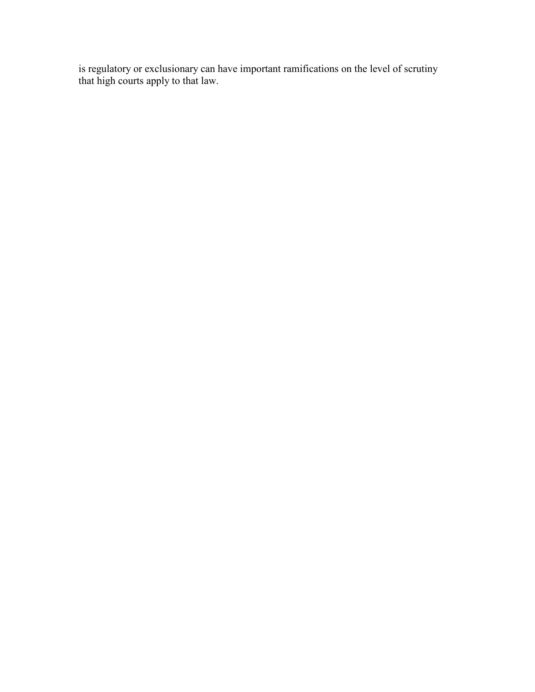is regulatory or exclusionary can have important ramifications on the level of scrutiny that high courts apply to that law.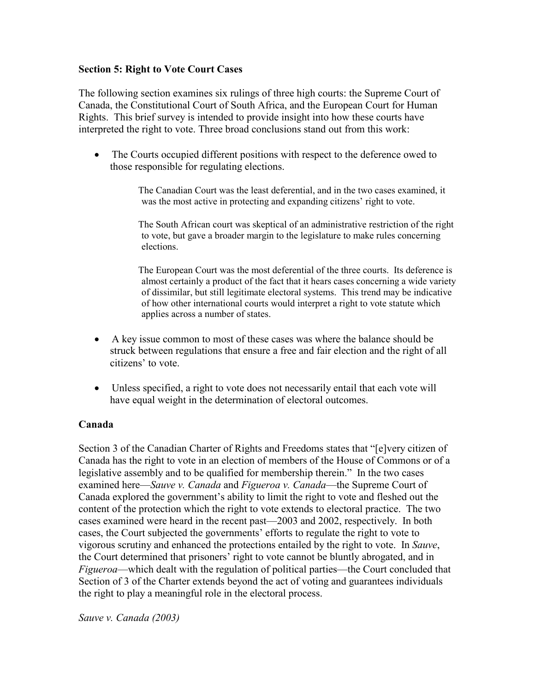# Section 5: Right to Vote Court Cases

The following section examines six rulings of three high courts: the Supreme Court of Canada, the Constitutional Court of South Africa, and the European Court for Human Rights. This brief survey is intended to provide insight into how these courts have interpreted the right to vote. Three broad conclusions stand out from this work:

• The Courts occupied different positions with respect to the deference owed to those responsible for regulating elections.

> The Canadian Court was the least deferential, and in the two cases examined, it was the most active in protecting and expanding citizens' right to vote.

 The South African court was skeptical of an administrative restriction of the right to vote, but gave a broader margin to the legislature to make rules concerning elections.

 The European Court was the most deferential of the three courts. Its deference is almost certainly a product of the fact that it hears cases concerning a wide variety of dissimilar, but still legitimate electoral systems. This trend may be indicative of how other international courts would interpret a right to vote statute which applies across a number of states.

- A key issue common to most of these cases was where the balance should be struck between regulations that ensure a free and fair election and the right of all citizens' to vote.
- Unless specified, a right to vote does not necessarily entail that each vote will have equal weight in the determination of electoral outcomes.

# Canada

Section 3 of the Canadian Charter of Rights and Freedoms states that "[e]very citizen of Canada has the right to vote in an election of members of the House of Commons or of a legislative assembly and to be qualified for membership therein." In the two cases examined here—Sauve v. Canada and Figueroa v. Canada—the Supreme Court of Canada explored the government's ability to limit the right to vote and fleshed out the content of the protection which the right to vote extends to electoral practice. The two cases examined were heard in the recent past—2003 and 2002, respectively. In both cases, the Court subjected the governments' efforts to regulate the right to vote to vigorous scrutiny and enhanced the protections entailed by the right to vote. In Sauve, the Court determined that prisoners' right to vote cannot be bluntly abrogated, and in Figueroa—which dealt with the regulation of political parties—the Court concluded that Section of 3 of the Charter extends beyond the act of voting and guarantees individuals the right to play a meaningful role in the electoral process.

Sauve v. Canada (2003)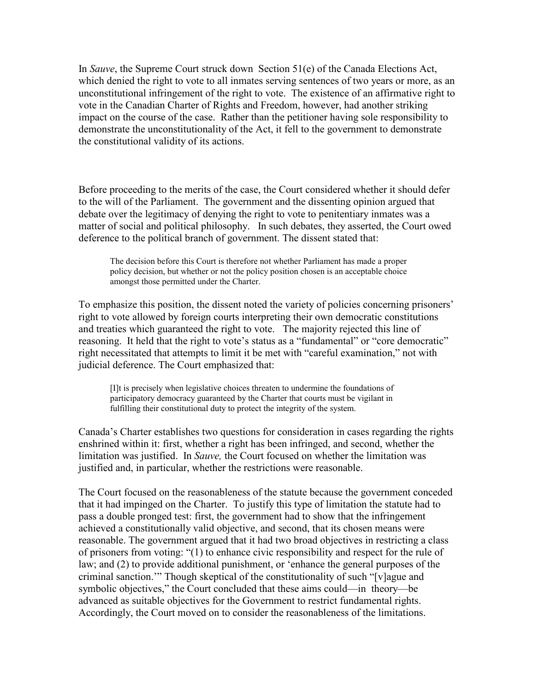In Sauve, the Supreme Court struck down Section 51(e) of the Canada Elections Act, which denied the right to vote to all inmates serving sentences of two years or more, as an unconstitutional infringement of the right to vote. The existence of an affirmative right to vote in the Canadian Charter of Rights and Freedom, however, had another striking impact on the course of the case. Rather than the petitioner having sole responsibility to demonstrate the unconstitutionality of the Act, it fell to the government to demonstrate the constitutional validity of its actions.

Before proceeding to the merits of the case, the Court considered whether it should defer to the will of the Parliament. The government and the dissenting opinion argued that debate over the legitimacy of denying the right to vote to penitentiary inmates was a matter of social and political philosophy. In such debates, they asserted, the Court owed deference to the political branch of government. The dissent stated that:

The decision before this Court is therefore not whether Parliament has made a proper policy decision, but whether or not the policy position chosen is an acceptable choice amongst those permitted under the Charter.

To emphasize this position, the dissent noted the variety of policies concerning prisoners' right to vote allowed by foreign courts interpreting their own democratic constitutions and treaties which guaranteed the right to vote. The majority rejected this line of reasoning. It held that the right to vote's status as a "fundamental" or "core democratic" right necessitated that attempts to limit it be met with "careful examination," not with judicial deference. The Court emphasized that:

[I]t is precisely when legislative choices threaten to undermine the foundations of participatory democracy guaranteed by the Charter that courts must be vigilant in fulfilling their constitutional duty to protect the integrity of the system.

Canada's Charter establishes two questions for consideration in cases regarding the rights enshrined within it: first, whether a right has been infringed, and second, whether the limitation was justified. In Sauve, the Court focused on whether the limitation was justified and, in particular, whether the restrictions were reasonable.

The Court focused on the reasonableness of the statute because the government conceded that it had impinged on the Charter. To justify this type of limitation the statute had to pass a double pronged test: first, the government had to show that the infringement achieved a constitutionally valid objective, and second, that its chosen means were reasonable. The government argued that it had two broad objectives in restricting a class of prisoners from voting: "(1) to enhance civic responsibility and respect for the rule of law; and (2) to provide additional punishment, or 'enhance the general purposes of the criminal sanction.'" Though skeptical of the constitutionality of such "[v]ague and symbolic objectives," the Court concluded that these aims could—in theory—be advanced as suitable objectives for the Government to restrict fundamental rights. Accordingly, the Court moved on to consider the reasonableness of the limitations.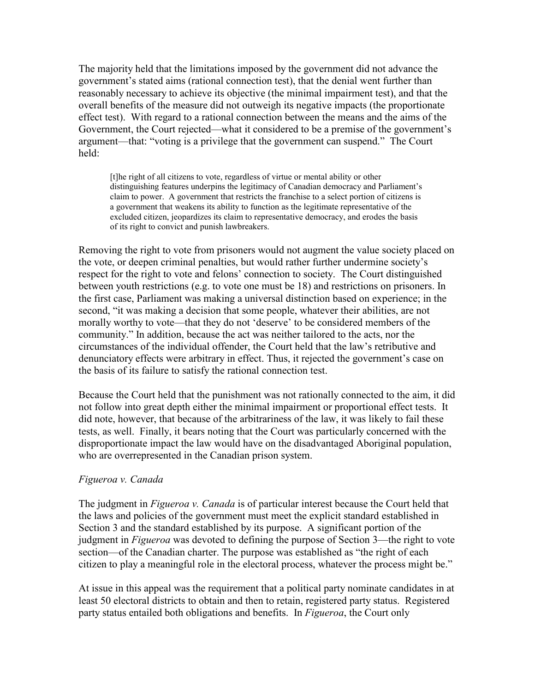The majority held that the limitations imposed by the government did not advance the government's stated aims (rational connection test), that the denial went further than reasonably necessary to achieve its objective (the minimal impairment test), and that the overall benefits of the measure did not outweigh its negative impacts (the proportionate effect test). With regard to a rational connection between the means and the aims of the Government, the Court rejected—what it considered to be a premise of the government's argument—that: "voting is a privilege that the government can suspend." The Court held:

[t]he right of all citizens to vote, regardless of virtue or mental ability or other distinguishing features underpins the legitimacy of Canadian democracy and Parliament's claim to power. A government that restricts the franchise to a select portion of citizens is a government that weakens its ability to function as the legitimate representative of the excluded citizen, jeopardizes its claim to representative democracy, and erodes the basis of its right to convict and punish lawbreakers.

Removing the right to vote from prisoners would not augment the value society placed on the vote, or deepen criminal penalties, but would rather further undermine society's respect for the right to vote and felons' connection to society. The Court distinguished between youth restrictions (e.g. to vote one must be 18) and restrictions on prisoners. In the first case, Parliament was making a universal distinction based on experience; in the second, "it was making a decision that some people, whatever their abilities, are not morally worthy to vote—that they do not 'deserve' to be considered members of the community." In addition, because the act was neither tailored to the acts, nor the circumstances of the individual offender, the Court held that the law's retributive and denunciatory effects were arbitrary in effect. Thus, it rejected the government's case on the basis of its failure to satisfy the rational connection test.

Because the Court held that the punishment was not rationally connected to the aim, it did not follow into great depth either the minimal impairment or proportional effect tests. It did note, however, that because of the arbitrariness of the law, it was likely to fail these tests, as well. Finally, it bears noting that the Court was particularly concerned with the disproportionate impact the law would have on the disadvantaged Aboriginal population, who are overrepresented in the Canadian prison system.

# Figueroa v. Canada

The judgment in *Figueroa v. Canada* is of particular interest because the Court held that the laws and policies of the government must meet the explicit standard established in Section 3 and the standard established by its purpose. A significant portion of the judgment in *Figueroa* was devoted to defining the purpose of Section 3—the right to vote section—of the Canadian charter. The purpose was established as "the right of each citizen to play a meaningful role in the electoral process, whatever the process might be."

At issue in this appeal was the requirement that a political party nominate candidates in at least 50 electoral districts to obtain and then to retain, registered party status. Registered party status entailed both obligations and benefits. In Figueroa, the Court only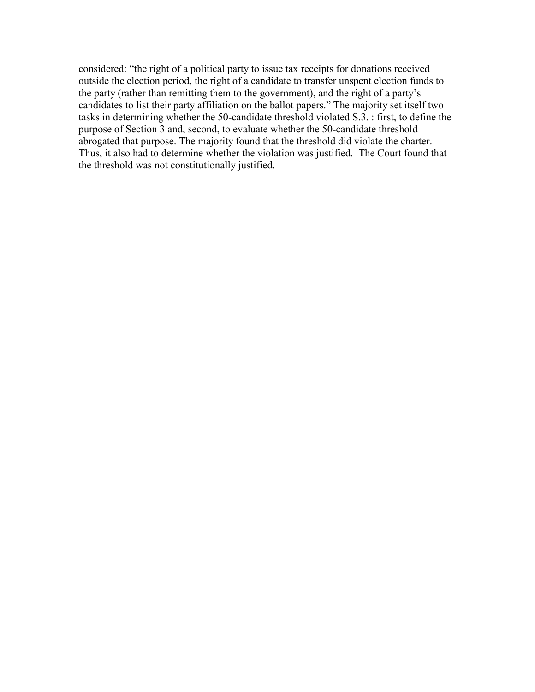considered: "the right of a political party to issue tax receipts for donations received outside the election period, the right of a candidate to transfer unspent election funds to the party (rather than remitting them to the government), and the right of a party's candidates to list their party affiliation on the ballot papers." The majority set itself two tasks in determining whether the 50-candidate threshold violated S.3. : first, to define the purpose of Section 3 and, second, to evaluate whether the 50-candidate threshold abrogated that purpose. The majority found that the threshold did violate the charter. Thus, it also had to determine whether the violation was justified. The Court found that the threshold was not constitutionally justified.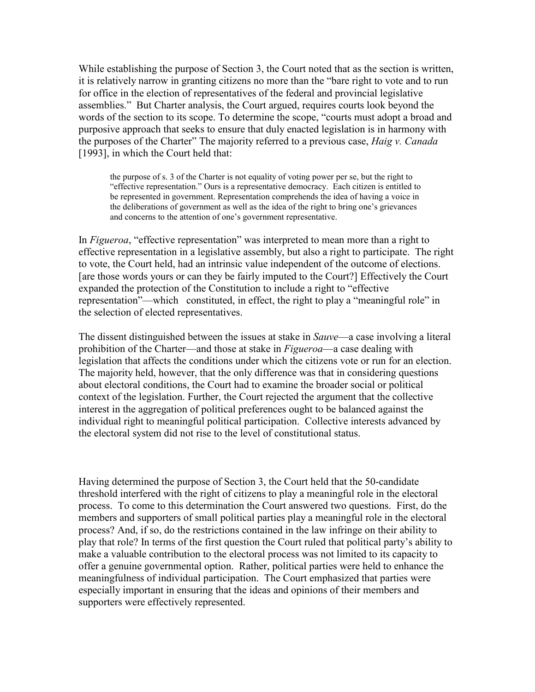While establishing the purpose of Section 3, the Court noted that as the section is written, it is relatively narrow in granting citizens no more than the "bare right to vote and to run for office in the election of representatives of the federal and provincial legislative assemblies." But Charter analysis, the Court argued, requires courts look beyond the words of the section to its scope. To determine the scope, "courts must adopt a broad and purposive approach that seeks to ensure that duly enacted legislation is in harmony with the purposes of the Charter" The majority referred to a previous case, Haig v. Canada [1993], in which the Court held that:

the purpose of s. 3 of the Charter is not equality of voting power per se, but the right to "effective representation." Ours is a representative democracy. Each citizen is entitled to be represented in government. Representation comprehends the idea of having a voice in the deliberations of government as well as the idea of the right to bring one's grievances and concerns to the attention of one's government representative.

In *Figueroa*, "effective representation" was interpreted to mean more than a right to effective representation in a legislative assembly, but also a right to participate. The right to vote, the Court held, had an intrinsic value independent of the outcome of elections. [are those words yours or can they be fairly imputed to the Court?] Effectively the Court expanded the protection of the Constitution to include a right to "effective representation"—which constituted, in effect, the right to play a "meaningful role" in the selection of elected representatives.

The dissent distinguished between the issues at stake in Sauve—a case involving a literal prohibition of the Charter—and those at stake in *Figueroa*—a case dealing with legislation that affects the conditions under which the citizens vote or run for an election. The majority held, however, that the only difference was that in considering questions about electoral conditions, the Court had to examine the broader social or political context of the legislation. Further, the Court rejected the argument that the collective interest in the aggregation of political preferences ought to be balanced against the individual right to meaningful political participation. Collective interests advanced by the electoral system did not rise to the level of constitutional status.

Having determined the purpose of Section 3, the Court held that the 50-candidate threshold interfered with the right of citizens to play a meaningful role in the electoral process. To come to this determination the Court answered two questions. First, do the members and supporters of small political parties play a meaningful role in the electoral process? And, if so, do the restrictions contained in the law infringe on their ability to play that role? In terms of the first question the Court ruled that political party's ability to make a valuable contribution to the electoral process was not limited to its capacity to offer a genuine governmental option. Rather, political parties were held to enhance the meaningfulness of individual participation. The Court emphasized that parties were especially important in ensuring that the ideas and opinions of their members and supporters were effectively represented.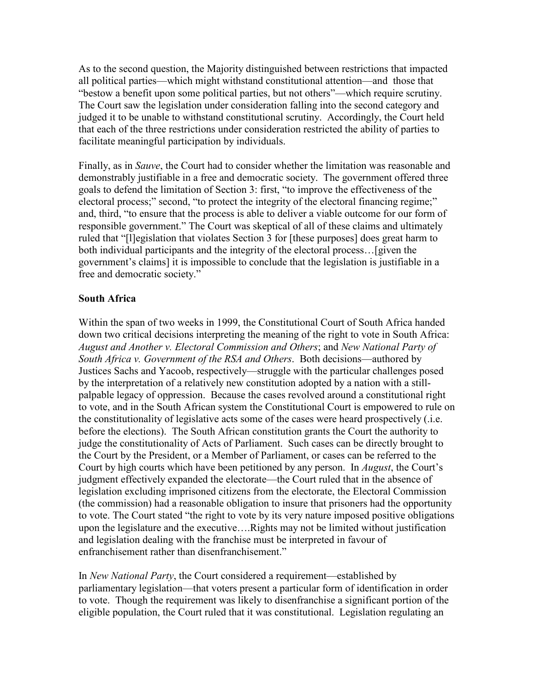As to the second question, the Majority distinguished between restrictions that impacted all political parties—which might withstand constitutional attention—and those that "bestow a benefit upon some political parties, but not others"—which require scrutiny. The Court saw the legislation under consideration falling into the second category and judged it to be unable to withstand constitutional scrutiny. Accordingly, the Court held that each of the three restrictions under consideration restricted the ability of parties to facilitate meaningful participation by individuals.

Finally, as in *Sauve*, the Court had to consider whether the limitation was reasonable and demonstrably justifiable in a free and democratic society. The government offered three goals to defend the limitation of Section 3: first, "to improve the effectiveness of the electoral process;" second, "to protect the integrity of the electoral financing regime;" and, third, "to ensure that the process is able to deliver a viable outcome for our form of responsible government." The Court was skeptical of all of these claims and ultimately ruled that "[l]egislation that violates Section 3 for [these purposes] does great harm to both individual participants and the integrity of the electoral process…[given the government's claims] it is impossible to conclude that the legislation is justifiable in a free and democratic society."

# South Africa

Within the span of two weeks in 1999, the Constitutional Court of South Africa handed down two critical decisions interpreting the meaning of the right to vote in South Africa: August and Another v. Electoral Commission and Others; and New National Party of South Africa v. Government of the RSA and Others. Both decisions—authored by Justices Sachs and Yacoob, respectively—struggle with the particular challenges posed by the interpretation of a relatively new constitution adopted by a nation with a stillpalpable legacy of oppression. Because the cases revolved around a constitutional right to vote, and in the South African system the Constitutional Court is empowered to rule on the constitutionality of legislative acts some of the cases were heard prospectively (.i.e. before the elections). The South African constitution grants the Court the authority to judge the constitutionality of Acts of Parliament. Such cases can be directly brought to the Court by the President, or a Member of Parliament, or cases can be referred to the Court by high courts which have been petitioned by any person. In *August*, the Court's judgment effectively expanded the electorate—the Court ruled that in the absence of legislation excluding imprisoned citizens from the electorate, the Electoral Commission (the commission) had a reasonable obligation to insure that prisoners had the opportunity to vote. The Court stated "the right to vote by its very nature imposed positive obligations upon the legislature and the executive….Rights may not be limited without justification and legislation dealing with the franchise must be interpreted in favour of enfranchisement rather than disenfranchisement."

In New National Party, the Court considered a requirement—established by parliamentary legislation—that voters present a particular form of identification in order to vote. Though the requirement was likely to disenfranchise a significant portion of the eligible population, the Court ruled that it was constitutional. Legislation regulating an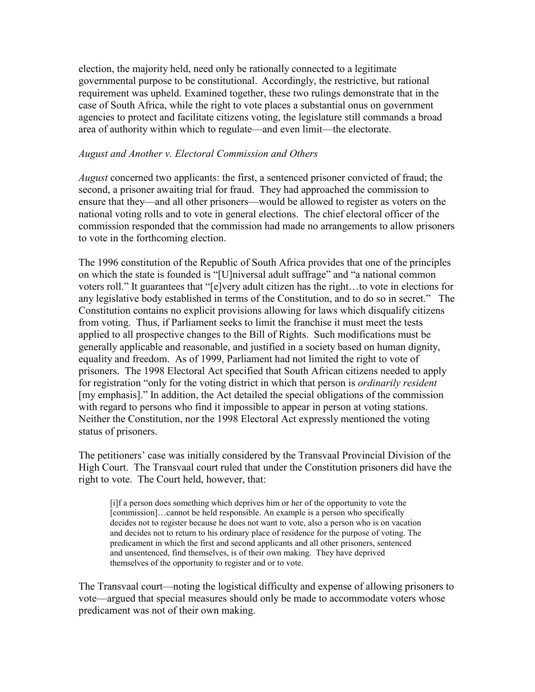election, the majority held, need only be rationally connected to a legitimate governmental purpose to be constitutional. Accordingly, the restrictive, but rational requirement was upheld. Examined together, these two rulings demonstrate that in the case of South Africa, while the right to vote places a substantial onus on government agencies to protect and facilitate citizens voting, the legislature still commands a broad area of authority within which to regulate—and even limit—the electorate.

# August and Another v. Electoral Commission and Others

August concerned two applicants: the first, a sentenced prisoner convicted of fraud; the second, a prisoner awaiting trial for fraud. They had approached the commission to ensure that they—and all other prisoners—would be allowed to register as voters on the national voting rolls and to vote in general elections. The chief electoral officer of the commission responded that the commission had made no arrangements to allow prisoners to vote in the forthcoming election.

The 1996 constitution of the Republic of South Africa provides that one of the principles on which the state is founded is "[U]niversal adult suffrage" and "a national common voters roll." It guarantees that "[e]very adult citizen has the right…to vote in elections for any legislative body established in terms of the Constitution, and to do so in secret." The Constitution contains no explicit provisions allowing for laws which disqualify citizens from voting. Thus, if Parliament seeks to limit the franchise it must meet the tests applied to all prospective changes to the Bill of Rights. Such modifications must be generally applicable and reasonable, and justified in a society based on human dignity, equality and freedom. As of 1999, Parliament had not limited the right to vote of prisoners. The 1998 Electoral Act specified that South African citizens needed to apply for registration "only for the voting district in which that person is *ordinarily resident* [my emphasis]." In addition, the Act detailed the special obligations of the commission with regard to persons who find it impossible to appear in person at voting stations. Neither the Constitution, nor the 1998 Electoral Act expressly mentioned the voting status of prisoners.

The petitioners' case was initially considered by the Transvaal Provincial Division of the High Court. The Transvaal court ruled that under the Constitution prisoners did have the right to vote. The Court held, however, that:

[i]f a person does something which deprives him or her of the opportunity to vote the [commission]...cannot be held responsible. An example is a person who specifically decides not to register because he does not want to vote, also a person who is on vacation and decides not to return to his ordinary place of residence for the purpose of voting. The predicament in which the first and second applicants and all other prisoners, sentenced and unsentenced, find themselves, is of their own making. They have deprived themselves of the opportunity to register and or to vote.

The Transvaal court—noting the logistical difficulty and expense of allowing prisoners to vote—argued that special measures should only be made to accommodate voters whose predicament was not of their own making.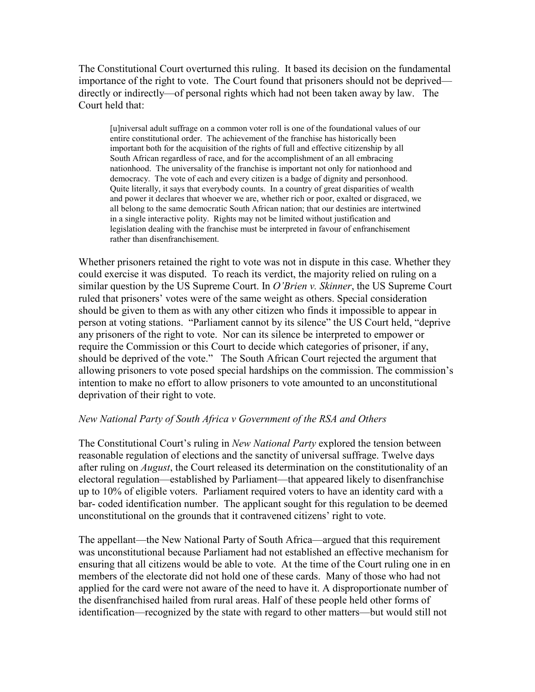The Constitutional Court overturned this ruling. It based its decision on the fundamental importance of the right to vote. The Court found that prisoners should not be deprived directly or indirectly—of personal rights which had not been taken away by law. The Court held that:

[u]niversal adult suffrage on a common voter roll is one of the foundational values of our entire constitutional order. The achievement of the franchise has historically been important both for the acquisition of the rights of full and effective citizenship by all South African regardless of race, and for the accomplishment of an all embracing nationhood. The universality of the franchise is important not only for nationhood and democracy. The vote of each and every citizen is a badge of dignity and personhood. Quite literally, it says that everybody counts. In a country of great disparities of wealth and power it declares that whoever we are, whether rich or poor, exalted or disgraced, we all belong to the same democratic South African nation; that our destinies are intertwined in a single interactive polity. Rights may not be limited without justification and legislation dealing with the franchise must be interpreted in favour of enfranchisement rather than disenfranchisement.

Whether prisoners retained the right to vote was not in dispute in this case. Whether they could exercise it was disputed. To reach its verdict, the majority relied on ruling on a similar question by the US Supreme Court. In  $O'$ Brien v. Skinner, the US Supreme Court ruled that prisoners' votes were of the same weight as others. Special consideration should be given to them as with any other citizen who finds it impossible to appear in person at voting stations. "Parliament cannot by its silence" the US Court held, "deprive any prisoners of the right to vote. Nor can its silence be interpreted to empower or require the Commission or this Court to decide which categories of prisoner, if any, should be deprived of the vote." The South African Court rejected the argument that allowing prisoners to vote posed special hardships on the commission. The commission's intention to make no effort to allow prisoners to vote amounted to an unconstitutional deprivation of their right to vote.

# New National Party of South Africa v Government of the RSA and Others

The Constitutional Court's ruling in *New National Party* explored the tension between reasonable regulation of elections and the sanctity of universal suffrage. Twelve days after ruling on August, the Court released its determination on the constitutionality of an electoral regulation—established by Parliament—that appeared likely to disenfranchise up to 10% of eligible voters. Parliament required voters to have an identity card with a bar- coded identification number. The applicant sought for this regulation to be deemed unconstitutional on the grounds that it contravened citizens' right to vote.

The appellant—the New National Party of South Africa—argued that this requirement was unconstitutional because Parliament had not established an effective mechanism for ensuring that all citizens would be able to vote. At the time of the Court ruling one in en members of the electorate did not hold one of these cards. Many of those who had not applied for the card were not aware of the need to have it. A disproportionate number of the disenfranchised hailed from rural areas. Half of these people held other forms of identification—recognized by the state with regard to other matters—but would still not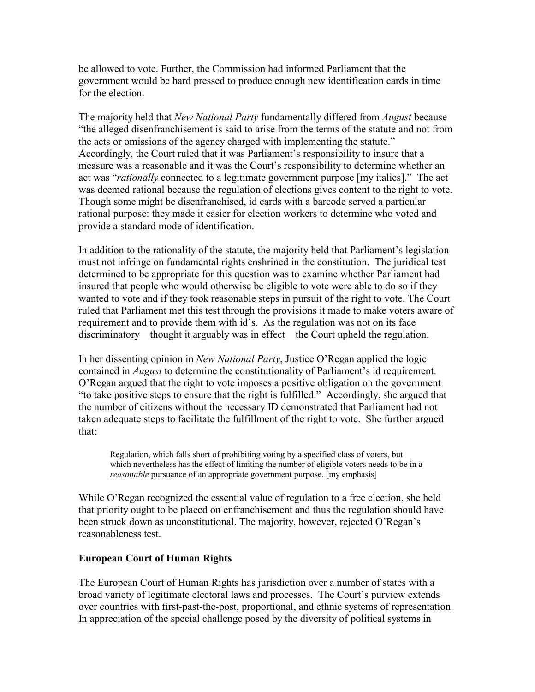be allowed to vote. Further, the Commission had informed Parliament that the government would be hard pressed to produce enough new identification cards in time for the election

The majority held that New National Party fundamentally differed from August because "the alleged disenfranchisement is said to arise from the terms of the statute and not from the acts or omissions of the agency charged with implementing the statute." Accordingly, the Court ruled that it was Parliament's responsibility to insure that a measure was a reasonable and it was the Court's responsibility to determine whether an act was "rationally connected to a legitimate government purpose [my italics]." The act was deemed rational because the regulation of elections gives content to the right to vote. Though some might be disenfranchised, id cards with a barcode served a particular rational purpose: they made it easier for election workers to determine who voted and provide a standard mode of identification.

In addition to the rationality of the statute, the majority held that Parliament's legislation must not infringe on fundamental rights enshrined in the constitution. The juridical test determined to be appropriate for this question was to examine whether Parliament had insured that people who would otherwise be eligible to vote were able to do so if they wanted to vote and if they took reasonable steps in pursuit of the right to vote. The Court ruled that Parliament met this test through the provisions it made to make voters aware of requirement and to provide them with id's. As the regulation was not on its face discriminatory—thought it arguably was in effect—the Court upheld the regulation.

In her dissenting opinion in *New National Party*, Justice O'Regan applied the logic contained in August to determine the constitutionality of Parliament's id requirement. O'Regan argued that the right to vote imposes a positive obligation on the government "to take positive steps to ensure that the right is fulfilled." Accordingly, she argued that the number of citizens without the necessary ID demonstrated that Parliament had not taken adequate steps to facilitate the fulfillment of the right to vote. She further argued that:

Regulation, which falls short of prohibiting voting by a specified class of voters, but which nevertheless has the effect of limiting the number of eligible voters needs to be in a reasonable pursuance of an appropriate government purpose. [my emphasis]

While O'Regan recognized the essential value of regulation to a free election, she held that priority ought to be placed on enfranchisement and thus the regulation should have been struck down as unconstitutional. The majority, however, rejected O'Regan's reasonableness test.

# European Court of Human Rights

The European Court of Human Rights has jurisdiction over a number of states with a broad variety of legitimate electoral laws and processes. The Court's purview extends over countries with first-past-the-post, proportional, and ethnic systems of representation. In appreciation of the special challenge posed by the diversity of political systems in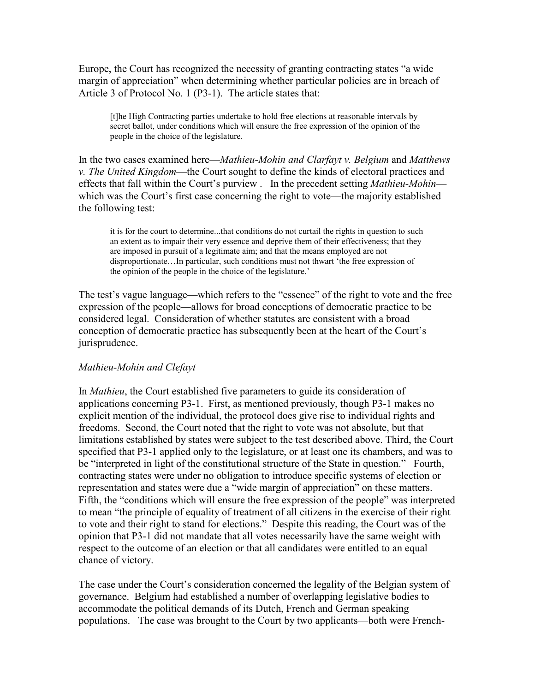Europe, the Court has recognized the necessity of granting contracting states "a wide margin of appreciation" when determining whether particular policies are in breach of Article 3 of Protocol No. 1 (P3-1). The article states that:

[t]he High Contracting parties undertake to hold free elections at reasonable intervals by secret ballot, under conditions which will ensure the free expression of the opinion of the people in the choice of the legislature.

In the two cases examined here—Mathieu-Mohin and Clarfayt v. Belgium and Matthews v. The United Kingdom—the Court sought to define the kinds of electoral practices and effects that fall within the Court's purview . In the precedent setting *Mathieu-Mohin* which was the Court's first case concerning the right to vote—the majority established the following test:

it is for the court to determine...that conditions do not curtail the rights in question to such an extent as to impair their very essence and deprive them of their effectiveness; that they are imposed in pursuit of a legitimate aim; and that the means employed are not disproportionate…In particular, such conditions must not thwart 'the free expression of the opinion of the people in the choice of the legislature.'

The test's vague language—which refers to the "essence" of the right to vote and the free expression of the people—allows for broad conceptions of democratic practice to be considered legal. Consideration of whether statutes are consistent with a broad conception of democratic practice has subsequently been at the heart of the Court's jurisprudence.

# Mathieu-Mohin and Clefayt

In Mathieu, the Court established five parameters to guide its consideration of applications concerning P3-1. First, as mentioned previously, though P3-1 makes no explicit mention of the individual, the protocol does give rise to individual rights and freedoms. Second, the Court noted that the right to vote was not absolute, but that limitations established by states were subject to the test described above. Third, the Court specified that P3-1 applied only to the legislature, or at least one its chambers, and was to be "interpreted in light of the constitutional structure of the State in question." Fourth, contracting states were under no obligation to introduce specific systems of election or representation and states were due a "wide margin of appreciation" on these matters. Fifth, the "conditions which will ensure the free expression of the people" was interpreted to mean "the principle of equality of treatment of all citizens in the exercise of their right to vote and their right to stand for elections." Despite this reading, the Court was of the opinion that P3-1 did not mandate that all votes necessarily have the same weight with respect to the outcome of an election or that all candidates were entitled to an equal chance of victory.

The case under the Court's consideration concerned the legality of the Belgian system of governance. Belgium had established a number of overlapping legislative bodies to accommodate the political demands of its Dutch, French and German speaking populations. The case was brought to the Court by two applicants—both were French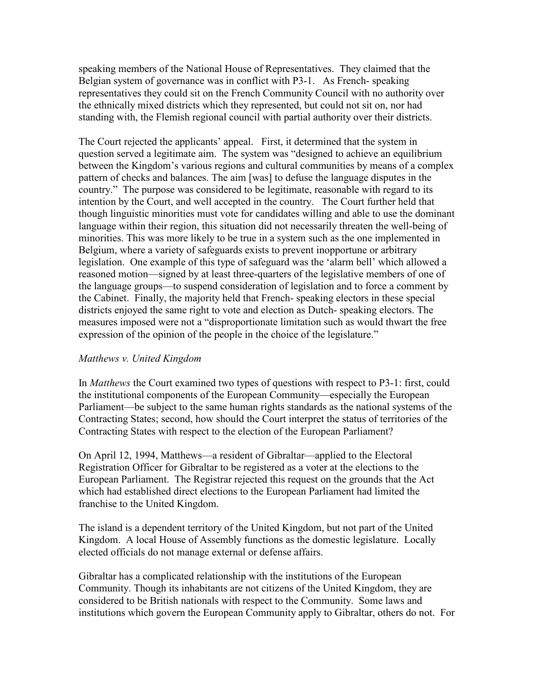speaking members of the National House of Representatives. They claimed that the Belgian system of governance was in conflict with P3-1. As French- speaking representatives they could sit on the French Community Council with no authority over the ethnically mixed districts which they represented, but could not sit on, nor had standing with, the Flemish regional council with partial authority over their districts.

The Court rejected the applicants' appeal. First, it determined that the system in question served a legitimate aim. The system was "designed to achieve an equilibrium between the Kingdom's various regions and cultural communities by means of a complex pattern of checks and balances. The aim [was] to defuse the language disputes in the country." The purpose was considered to be legitimate, reasonable with regard to its intention by the Court, and well accepted in the country. The Court further held that though linguistic minorities must vote for candidates willing and able to use the dominant language within their region, this situation did not necessarily threaten the well-being of minorities. This was more likely to be true in a system such as the one implemented in Belgium, where a variety of safeguards exists to prevent inopportune or arbitrary legislation. One example of this type of safeguard was the 'alarm bell' which allowed a reasoned motion—signed by at least three-quarters of the legislative members of one of the language groups—to suspend consideration of legislation and to force a comment by the Cabinet. Finally, the majority held that French- speaking electors in these special districts enjoyed the same right to vote and election as Dutch- speaking electors. The measures imposed were not a "disproportionate limitation such as would thwart the free expression of the opinion of the people in the choice of the legislature."

# Matthews v. United Kingdom

In Matthews the Court examined two types of questions with respect to P3-1: first, could the institutional components of the European Community—especially the European Parliament—be subject to the same human rights standards as the national systems of the Contracting States; second, how should the Court interpret the status of territories of the Contracting States with respect to the election of the European Parliament?

On April 12, 1994, Matthews—a resident of Gibraltar—applied to the Electoral Registration Officer for Gibraltar to be registered as a voter at the elections to the European Parliament. The Registrar rejected this request on the grounds that the Act which had established direct elections to the European Parliament had limited the franchise to the United Kingdom.

The island is a dependent territory of the United Kingdom, but not part of the United Kingdom. A local House of Assembly functions as the domestic legislature. Locally elected officials do not manage external or defense affairs.

Gibraltar has a complicated relationship with the institutions of the European Community. Though its inhabitants are not citizens of the United Kingdom, they are considered to be British nationals with respect to the Community. Some laws and institutions which govern the European Community apply to Gibraltar, others do not. For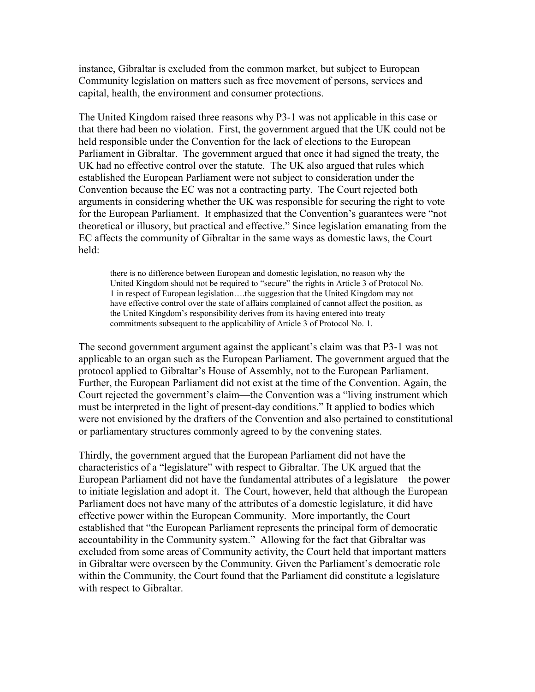instance, Gibraltar is excluded from the common market, but subject to European Community legislation on matters such as free movement of persons, services and capital, health, the environment and consumer protections.

The United Kingdom raised three reasons why P3-1 was not applicable in this case or that there had been no violation. First, the government argued that the UK could not be held responsible under the Convention for the lack of elections to the European Parliament in Gibraltar. The government argued that once it had signed the treaty, the UK had no effective control over the statute. The UK also argued that rules which established the European Parliament were not subject to consideration under the Convention because the EC was not a contracting party. The Court rejected both arguments in considering whether the UK was responsible for securing the right to vote for the European Parliament. It emphasized that the Convention's guarantees were "not theoretical or illusory, but practical and effective." Since legislation emanating from the EC affects the community of Gibraltar in the same ways as domestic laws, the Court held:

there is no difference between European and domestic legislation, no reason why the United Kingdom should not be required to "secure" the rights in Article 3 of Protocol No. 1 in respect of European legislation….the suggestion that the United Kingdom may not have effective control over the state of affairs complained of cannot affect the position, as the United Kingdom's responsibility derives from its having entered into treaty commitments subsequent to the applicability of Article 3 of Protocol No. 1.

The second government argument against the applicant's claim was that P3-1 was not applicable to an organ such as the European Parliament. The government argued that the protocol applied to Gibraltar's House of Assembly, not to the European Parliament. Further, the European Parliament did not exist at the time of the Convention. Again, the Court rejected the government's claim—the Convention was a "living instrument which must be interpreted in the light of present-day conditions." It applied to bodies which were not envisioned by the drafters of the Convention and also pertained to constitutional or parliamentary structures commonly agreed to by the convening states.

Thirdly, the government argued that the European Parliament did not have the characteristics of a "legislature" with respect to Gibraltar. The UK argued that the European Parliament did not have the fundamental attributes of a legislature—the power to initiate legislation and adopt it. The Court, however, held that although the European Parliament does not have many of the attributes of a domestic legislature, it did have effective power within the European Community. More importantly, the Court established that "the European Parliament represents the principal form of democratic accountability in the Community system." Allowing for the fact that Gibraltar was excluded from some areas of Community activity, the Court held that important matters in Gibraltar were overseen by the Community. Given the Parliament's democratic role within the Community, the Court found that the Parliament did constitute a legislature with respect to Gibraltar.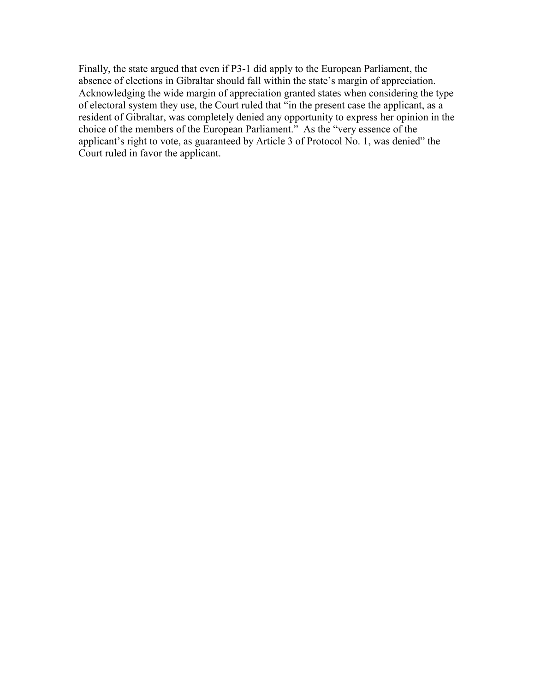Finally, the state argued that even if P3-1 did apply to the European Parliament, the absence of elections in Gibraltar should fall within the state's margin of appreciation. Acknowledging the wide margin of appreciation granted states when considering the type of electoral system they use, the Court ruled that "in the present case the applicant, as a resident of Gibraltar, was completely denied any opportunity to express her opinion in the choice of the members of the European Parliament." As the "very essence of the applicant's right to vote, as guaranteed by Article 3 of Protocol No. 1, was denied" the Court ruled in favor the applicant.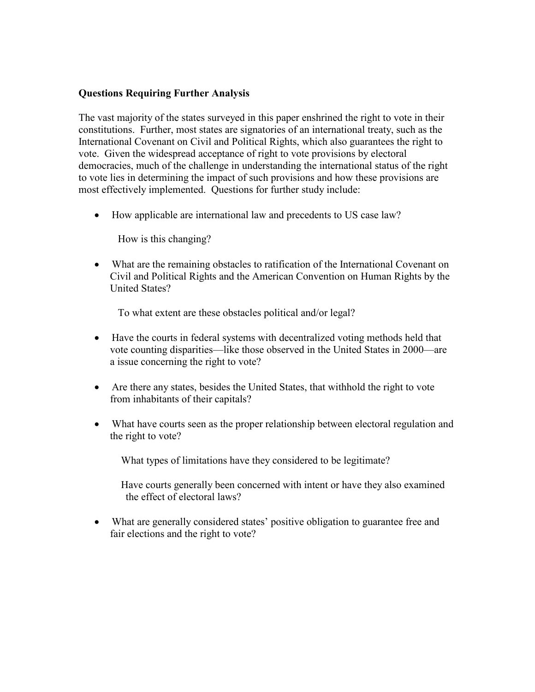# Questions Requiring Further Analysis

The vast majority of the states surveyed in this paper enshrined the right to vote in their constitutions. Further, most states are signatories of an international treaty, such as the International Covenant on Civil and Political Rights, which also guarantees the right to vote. Given the widespread acceptance of right to vote provisions by electoral democracies, much of the challenge in understanding the international status of the right to vote lies in determining the impact of such provisions and how these provisions are most effectively implemented. Questions for further study include:

• How applicable are international law and precedents to US case law?

How is this changing?

• What are the remaining obstacles to ratification of the International Covenant on Civil and Political Rights and the American Convention on Human Rights by the United States?

To what extent are these obstacles political and/or legal?

- Have the courts in federal systems with decentralized voting methods held that vote counting disparities—like those observed in the United States in 2000—are a issue concerning the right to vote?
- Are there any states, besides the United States, that withhold the right to vote from inhabitants of their capitals?
- What have courts seen as the proper relationship between electoral regulation and the right to vote?

What types of limitations have they considered to be legitimate?

 Have courts generally been concerned with intent or have they also examined the effect of electoral laws?

• What are generally considered states' positive obligation to guarantee free and fair elections and the right to vote?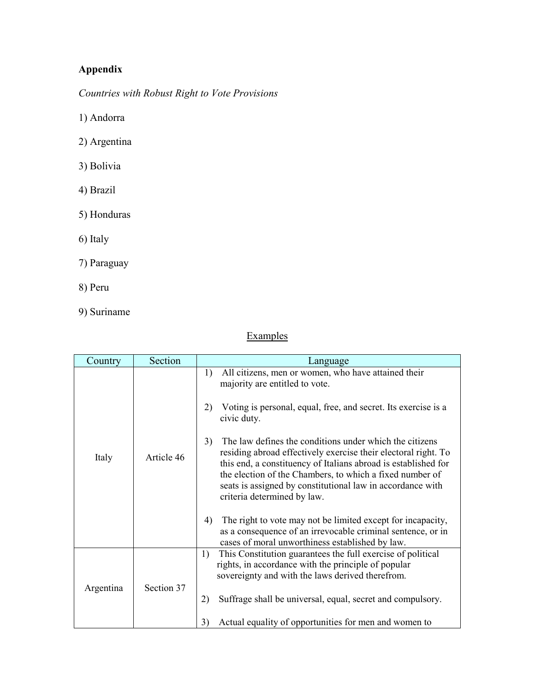# Appendix

Countries with Robust Right to Vote Provisions

1) Andorra

- 2) Argentina
- 3) Bolivia
- 4) Brazil
- 5) Honduras
- 6) Italy
- 7) Paraguay
- 8) Peru
- 9) Suriname

# Examples

| Country   | Section    | Language                                                                                                                                                                                                                                                                                                                                                                                                                                                                                                                                                                                                                                                                             |
|-----------|------------|--------------------------------------------------------------------------------------------------------------------------------------------------------------------------------------------------------------------------------------------------------------------------------------------------------------------------------------------------------------------------------------------------------------------------------------------------------------------------------------------------------------------------------------------------------------------------------------------------------------------------------------------------------------------------------------|
| Italy     | Article 46 | All citizens, men or women, who have attained their<br>1)<br>majority are entitled to vote.<br>2)<br>Voting is personal, equal, free, and secret. Its exercise is a<br>civic duty.<br>3)<br>The law defines the conditions under which the citizens<br>residing abroad effectively exercise their electoral right. To<br>this end, a constituency of Italians abroad is established for<br>the election of the Chambers, to which a fixed number of<br>seats is assigned by constitutional law in accordance with<br>criteria determined by law.<br>The right to vote may not be limited except for incapacity,<br>4)<br>as a consequence of an irrevocable criminal sentence, or in |
|           |            | cases of moral unworthiness established by law.                                                                                                                                                                                                                                                                                                                                                                                                                                                                                                                                                                                                                                      |
| Argentina | Section 37 | This Constitution guarantees the full exercise of political<br>1)<br>rights, in accordance with the principle of popular<br>sovereignty and with the laws derived therefrom.<br>2)<br>Suffrage shall be universal, equal, secret and compulsory.<br>Actual equality of opportunities for men and women to<br>3)                                                                                                                                                                                                                                                                                                                                                                      |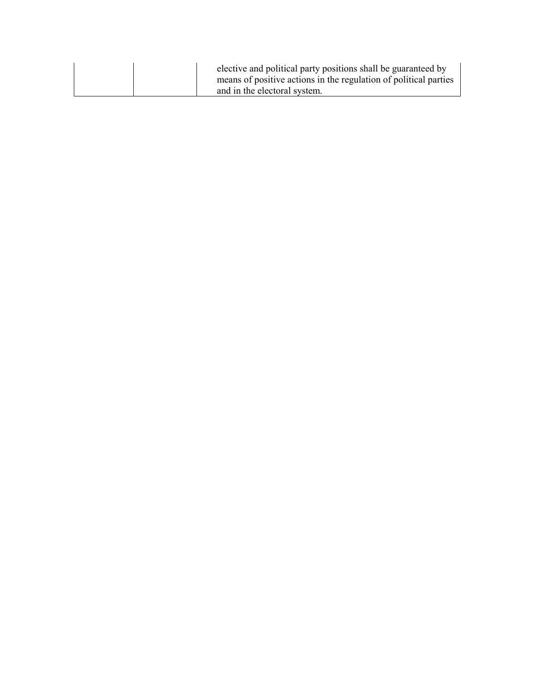| elective and political party positions shall be guaranteed by<br>means of positive actions in the regulation of political parties |
|-----------------------------------------------------------------------------------------------------------------------------------|
| and in the electoral system.                                                                                                      |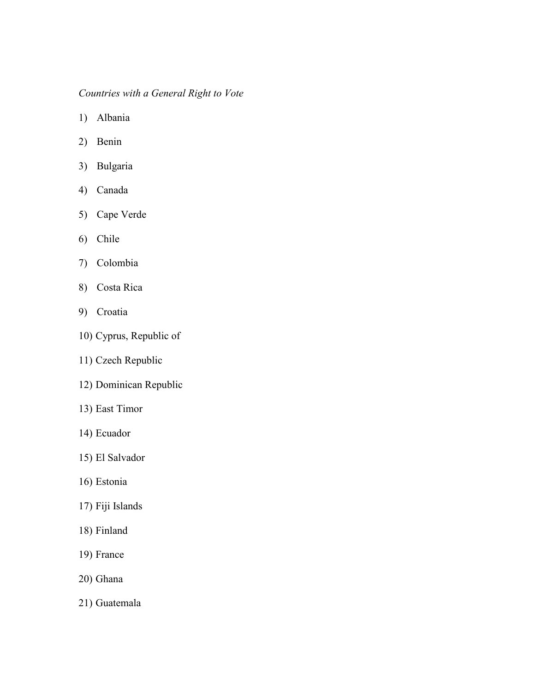# Countries with a General Right to Vote

- 1) Albania
- 2) Benin
- 3) Bulgaria
- 4) Canada
- 5) Cape Verde
- 6) Chile
- 7) Colombia
- 8) Costa Rica
- 9) Croatia
- 10) Cyprus, Republic of
- 11) Czech Republic
- 12) Dominican Republic
- 13) East Timor
- 14) Ecuador
- 15) El Salvador
- 16) Estonia
- 17) Fiji Islands
- 18) Finland
- 19) France
- 20) Ghana
- 21) Guatemala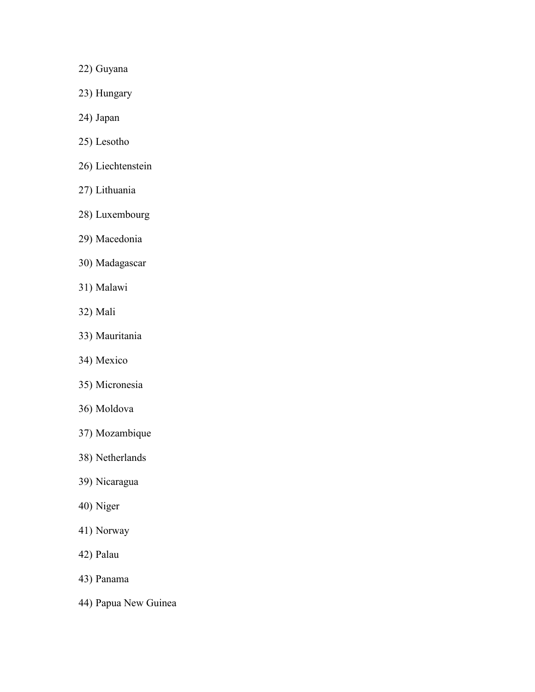- 22) Guyana
- 23) Hungary
- 24) Japan
- 25) Lesotho
- 26) Liechtenstein
- 27) Lithuania
- 28) Luxembourg
- 29) Macedonia
- 30) Madagascar
- 31) Malawi
- 32) Mali
- 33) Mauritania
- 34) Mexico
- 35) Micronesia
- 36) Moldova
- 37) Mozambique
- 38) Netherlands
- 39) Nicaragua
- 40) Niger
- 41) Norway
- 42) Palau
- 43) Panama
- 44) Papua New Guinea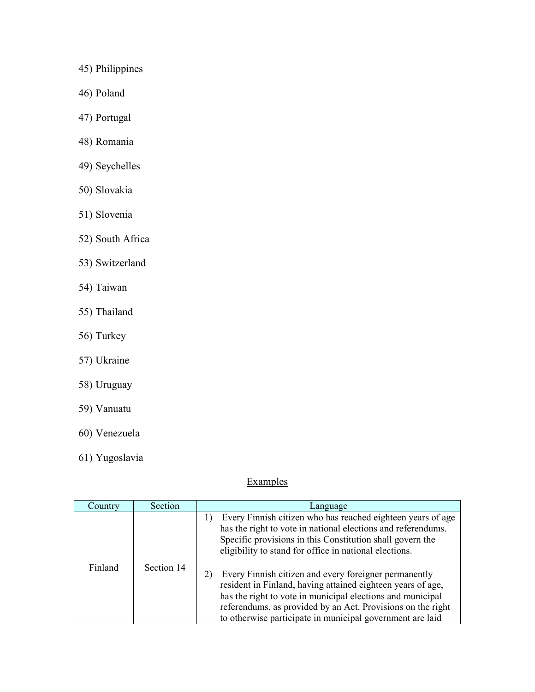- 45) Philippines
- 46) Poland
- 47) Portugal
- 48) Romania
- 49) Seychelles
- 50) Slovakia
- 51) Slovenia
- 52) South Africa
- 53) Switzerland
- 54) Taiwan
- 55) Thailand
- 56) Turkey
- 57) Ukraine
- 58) Uruguay
- 59) Vanuatu
- 60) Venezuela
- 61) Yugoslavia

# **Examples**

| Country | Section    | Language                                                                                                                                                                                                                                                                                                       |
|---------|------------|----------------------------------------------------------------------------------------------------------------------------------------------------------------------------------------------------------------------------------------------------------------------------------------------------------------|
|         |            | Every Finnish citizen who has reached eighteen years of age<br>has the right to vote in national elections and referendums.<br>Specific provisions in this Constitution shall govern the<br>eligibility to stand for office in national elections.                                                             |
| Finland | Section 14 | Every Finnish citizen and every foreigner permanently<br>resident in Finland, having attained eighteen years of age,<br>has the right to vote in municipal elections and municipal<br>referendums, as provided by an Act. Provisions on the right<br>to otherwise participate in municipal government are laid |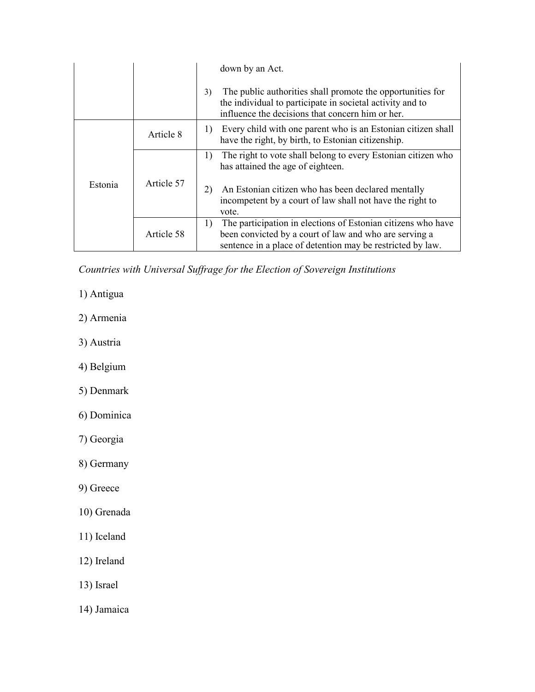|         |                        | down by an Act.                                                                                                                                                                            |
|---------|------------------------|--------------------------------------------------------------------------------------------------------------------------------------------------------------------------------------------|
|         |                        | The public authorities shall promote the opportunities for<br>3)<br>the individual to participate in societal activity and to<br>influence the decisions that concern him or her.          |
| Estonia | Article 8              | Every child with one parent who is an Estonian citizen shall<br>1)<br>have the right, by birth, to Estonian citizenship.                                                                   |
|         | 1)<br>Article 57<br>2) | The right to vote shall belong to every Estonian citizen who<br>has attained the age of eighteen.                                                                                          |
|         |                        | An Estonian citizen who has been declared mentally<br>incompetent by a court of law shall not have the right to<br>vote.                                                                   |
|         | Article 58             | The participation in elections of Estonian citizens who have<br>1)<br>been convicted by a court of law and who are serving a<br>sentence in a place of detention may be restricted by law. |

Countries with Universal Suffrage for the Election of Sovereign Institutions

- 1) Antigua
- 2) Armenia
- 3) Austria
- 4) Belgium
- 5) Denmark
- 6) Dominica
- 7) Georgia
- 8) Germany
- 9) Greece
- 10) Grenada
- 11) Iceland
- 12) Ireland
- 13) Israel
- 14) Jamaica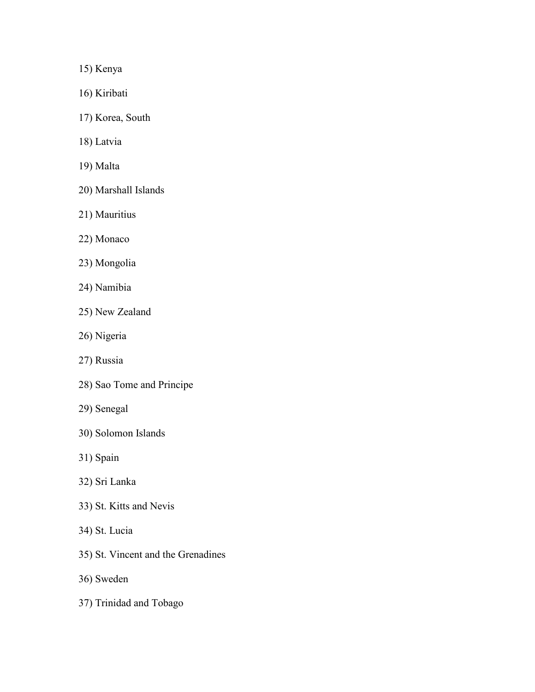15) Kenya

- 16) Kiribati
- 17) Korea, South
- 18) Latvia
- 19) Malta
- 20) Marshall Islands
- 21) Mauritius
- 22) Monaco
- 23) Mongolia
- 24) Namibia
- 25) New Zealand
- 26) Nigeria
- 27) Russia
- 28) Sao Tome and Principe
- 29) Senegal
- 30) Solomon Islands
- 31) Spain
- 32) Sri Lanka
- 33) St. Kitts and Nevis
- 34) St. Lucia
- 35) St. Vincent and the Grenadines
- 36) Sweden
- 37) Trinidad and Tobago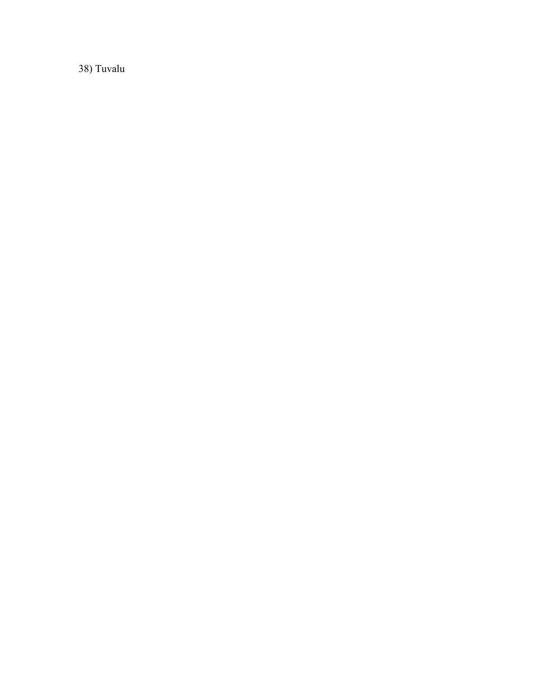38) Tuvalu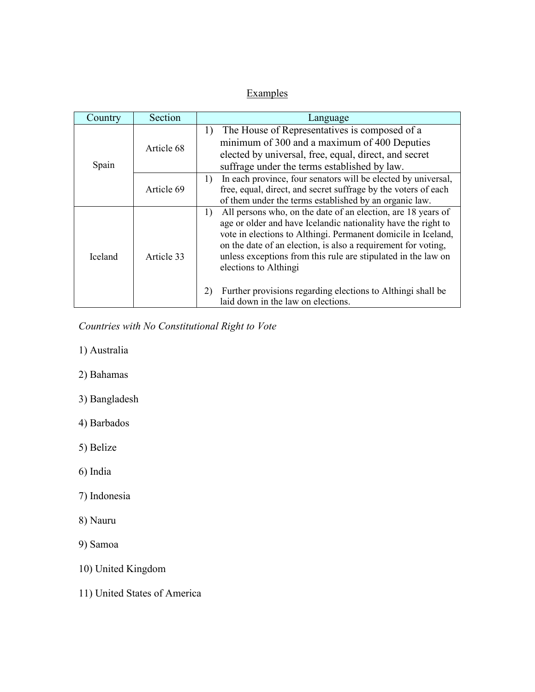# **Examples**

| Country        | Section    | Language                                                                                                                                                                                                                                                                                                                                                                                                                                                                   |  |
|----------------|------------|----------------------------------------------------------------------------------------------------------------------------------------------------------------------------------------------------------------------------------------------------------------------------------------------------------------------------------------------------------------------------------------------------------------------------------------------------------------------------|--|
| Spain          | Article 68 | The House of Representatives is composed of a<br>1)<br>minimum of 300 and a maximum of 400 Deputies<br>elected by universal, free, equal, direct, and secret<br>suffrage under the terms established by law.                                                                                                                                                                                                                                                               |  |
|                | Article 69 | In each province, four senators will be elected by universal,<br>1)<br>free, equal, direct, and secret suffrage by the voters of each<br>of them under the terms established by an organic law.                                                                                                                                                                                                                                                                            |  |
| <b>Iceland</b> | Article 33 | All persons who, on the date of an election, are 18 years of<br>1)<br>age or older and have Icelandic nationality have the right to<br>vote in elections to Althingi. Permanent domicile in Iceland,<br>on the date of an election, is also a requirement for voting,<br>unless exceptions from this rule are stipulated in the law on<br>elections to Althingi<br>Further provisions regarding elections to Althingi shall be<br>2)<br>laid down in the law on elections. |  |

Countries with No Constitutional Right to Vote

- 1) Australia
- 2) Bahamas
- 3) Bangladesh
- 4) Barbados
- 5) Belize
- 6) India
- 7) Indonesia
- 8) Nauru
- 9) Samoa
- 10) United Kingdom
- 11) United States of America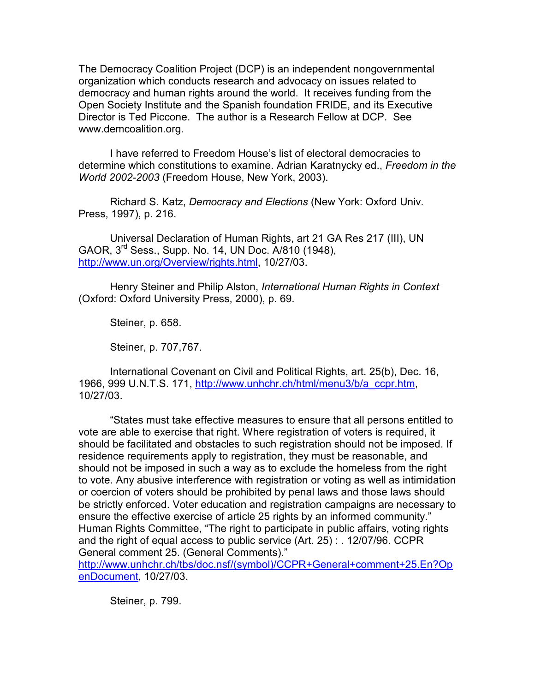The Democracy Coalition Project (DCP) is an independent nongovernmental organization which conducts research and advocacy on issues related to democracy and human rights around the world. It receives funding from the Open Society Institute and the Spanish foundation FRIDE, and its Executive Director is Ted Piccone. The author is a Research Fellow at DCP. See www.demcoalition.org.

I have referred to Freedom House's list of electoral democracies to determine which constitutions to examine. Adrian Karatnycky ed., Freedom in the World 2002-2003 (Freedom House, New York, 2003).

Richard S. Katz, Democracy and Elections (New York: Oxford Univ. Press, 1997), p. 216.

Universal Declaration of Human Rights, art 21 GA Res 217 (III), UN GAOR, 3rd Sess., Supp. No. 14, UN Doc. A/810 (1948), http://www.un.org/Overview/rights.html, 10/27/03.

Henry Steiner and Philip Alston, International Human Rights in Context (Oxford: Oxford University Press, 2000), p. 69.

Steiner, p. 658.

Steiner, p. 707,767.

International Covenant on Civil and Political Rights, art. 25(b), Dec. 16, 1966, 999 U.N.T.S. 171, http://www.unhchr.ch/html/menu3/b/a\_ccpr.htm, 10/27/03.

"States must take effective measures to ensure that all persons entitled to vote are able to exercise that right. Where registration of voters is required, it should be facilitated and obstacles to such registration should not be imposed. If residence requirements apply to registration, they must be reasonable, and should not be imposed in such a way as to exclude the homeless from the right to vote. Any abusive interference with registration or voting as well as intimidation or coercion of voters should be prohibited by penal laws and those laws should be strictly enforced. Voter education and registration campaigns are necessary to ensure the effective exercise of article 25 rights by an informed community." Human Rights Committee, "The right to participate in public affairs, voting rights and the right of equal access to public service (Art. 25) : . 12/07/96. CCPR General comment 25. (General Comments)."

http://www.unhchr.ch/tbs/doc.nsf/(symbol)/CCPR+General+comment+25.En?Op enDocument, 10/27/03.

Steiner, p. 799.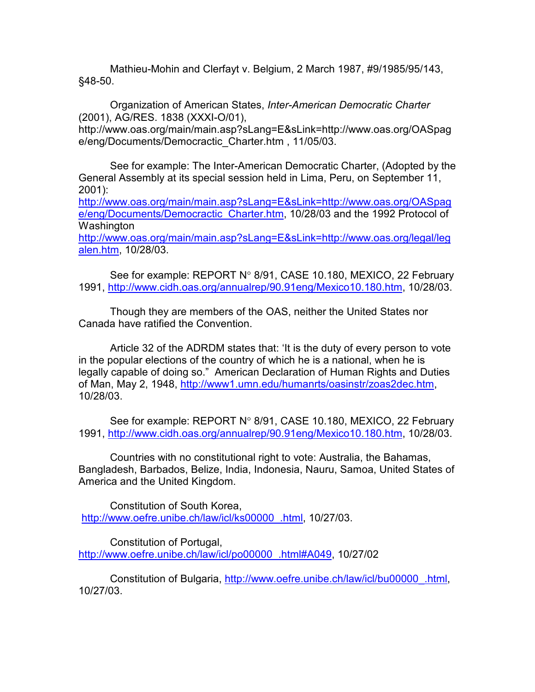Mathieu-Mohin and Clerfayt v. Belgium, 2 March 1987, #9/1985/95/143, §48-50.

Organization of American States, Inter-American Democratic Charter (2001), AG/RES. 1838 (XXXI-O/01),

http://www.oas.org/main/main.asp?sLang=E&sLink=http://www.oas.org/OASpag e/eng/Documents/Democractic\_Charter.htm , 11/05/03.

See for example: The Inter-American Democratic Charter, (Adopted by the General Assembly at its special session held in Lima, Peru, on September 11, 2001):

http://www.oas.org/main/main.asp?sLang=E&sLink=http://www.oas.org/OASpag e/eng/Documents/Democractic Charter.htm, 10/28/03 and the 1992 Protocol of Washington

http://www.oas.org/main/main.asp?sLang=E&sLink=http://www.oas.org/legal/leg alen.htm, 10/28/03.

See for example: REPORT N° 8/91, CASE 10.180, MEXICO, 22 February 1991, http://www.cidh.oas.org/annualrep/90.91eng/Mexico10.180.htm, 10/28/03.

Though they are members of the OAS, neither the United States nor Canada have ratified the Convention.

Article 32 of the ADRDM states that: 'It is the duty of every person to vote in the popular elections of the country of which he is a national, when he is legally capable of doing so." American Declaration of Human Rights and Duties of Man, May 2, 1948, http://www1.umn.edu/humanrts/oasinstr/zoas2dec.htm, 10/28/03.

See for example: REPORT N° 8/91, CASE 10.180, MEXICO, 22 February 1991, http://www.cidh.oas.org/annualrep/90.91eng/Mexico10.180.htm, 10/28/03.

Countries with no constitutional right to vote: Australia, the Bahamas, Bangladesh, Barbados, Belize, India, Indonesia, Nauru, Samoa, United States of America and the United Kingdom.

Constitution of South Korea, http://www.oefre.unibe.ch/law/icl/ks00000\_.html, 10/27/03.

Constitution of Portugal, http://www.oefre.unibe.ch/law/icl/po00000\_.html#A049, 10/27/02

Constitution of Bulgaria, http://www.oefre.unibe.ch/law/icl/bu00000\_.html, 10/27/03.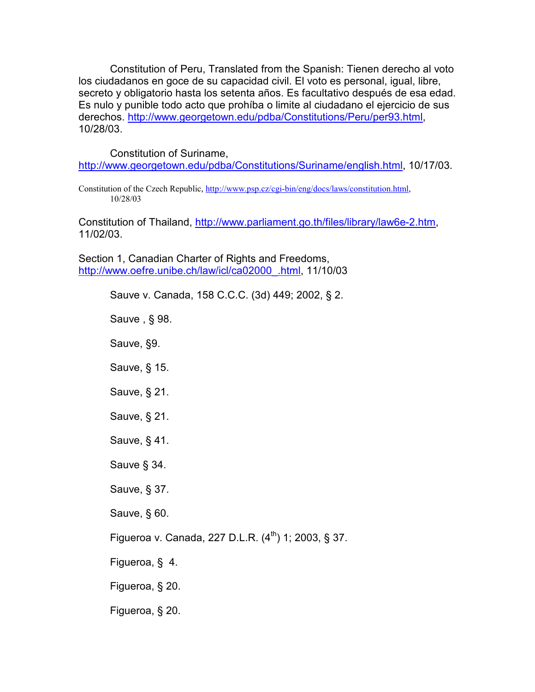Constitution of Peru, Translated from the Spanish: Tienen derecho al voto los ciudadanos en goce de su capacidad civil. El voto es personal, igual, libre, secreto y obligatorio hasta los setenta años. Es facultativo después de esa edad. Es nulo y punible todo acto que prohíba o limite al ciudadano el ejercicio de sus derechos. http://www.georgetown.edu/pdba/Constitutions/Peru/per93.html, 10/28/03.

Constitution of Suriname,

http://www.georgetown.edu/pdba/Constitutions/Suriname/english.html, 10/17/03.

Constitution of the Czech Republic, http://www.psp.cz/cgi-bin/eng/docs/laws/constitution.html, 10/28/03

Constitution of Thailand, http://www.parliament.go.th/files/library/law6e-2.htm, 11/02/03.

Section 1, Canadian Charter of Rights and Freedoms, http://www.oefre.unibe.ch/law/icl/ca02000\_.html, 11/10/03

> Sauve v. Canada, 158 C.C.C. (3d) 449; 2002, § 2. Sauve , § 98. Sauve, §9. Sauve, § 15. Sauve, § 21. Sauve, § 21. Sauve, § 41. Sauve § 34. Sauve, § 37. Sauve, § 60. Figueroa v. Canada, 227 D.L.R.  $(4^{th})$  1; 2003, § 37. Figueroa, § 4. Figueroa, § 20. Figueroa, § 20.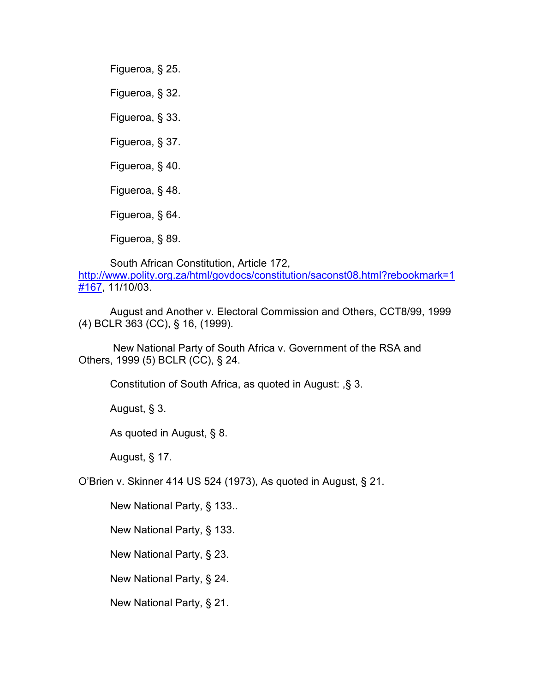Figueroa, § 25. Figueroa, § 32. Figueroa, § 33. Figueroa, § 37. Figueroa, § 40. Figueroa, § 48. Figueroa, § 64. Figueroa, § 89.

South African Constitution, Article 172, http://www.polity.org.za/html/govdocs/constitution/saconst08.html?rebookmark=1 #167, 11/10/03.

August and Another v. Electoral Commission and Others, CCT8/99, 1999 (4) BCLR 363 (CC), § 16, (1999).

 New National Party of South Africa v. Government of the RSA and Others, 1999 (5) BCLR (CC), § 24.

Constitution of South Africa, as quoted in August: ,§ 3.

August, § 3.

As quoted in August, § 8.

August, § 17.

O'Brien v. Skinner 414 US 524 (1973), As quoted in August, § 21.

New National Party, § 133..

New National Party, § 133.

New National Party, § 23.

New National Party, § 24.

New National Party, § 21.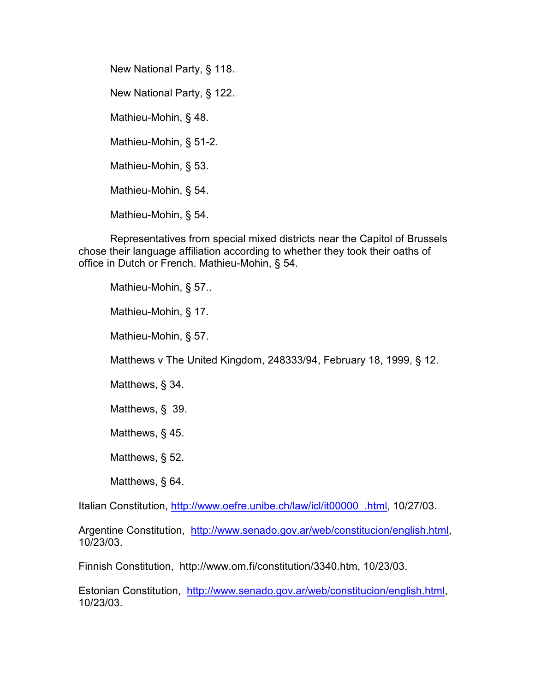New National Party, § 118. New National Party, § 122. Mathieu-Mohin, § 48. Mathieu-Mohin, § 51-2. Mathieu-Mohin, § 53. Mathieu-Mohin, § 54. Mathieu-Mohin, § 54.

Representatives from special mixed districts near the Capitol of Brussels chose their language affiliation according to whether they took their oaths of office in Dutch or French. Mathieu-Mohin, § 54.

Mathieu-Mohin, § 57..

Mathieu-Mohin, § 17.

Mathieu-Mohin, § 57.

Matthews v The United Kingdom, 248333/94, February 18, 1999, § 12.

Matthews, § 34.

Matthews, § 39.

Matthews, § 45.

Matthews, § 52.

Matthews, § 64.

Italian Constitution, http://www.oefre.unibe.ch/law/icl/it00000\_.html, 10/27/03.

Argentine Constitution, http://www.senado.gov.ar/web/constitucion/english.html, 10/23/03.

Finnish Constitution, http://www.om.fi/constitution/3340.htm, 10/23/03.

Estonian Constitution, http://www.senado.gov.ar/web/constitucion/english.html, 10/23/03.